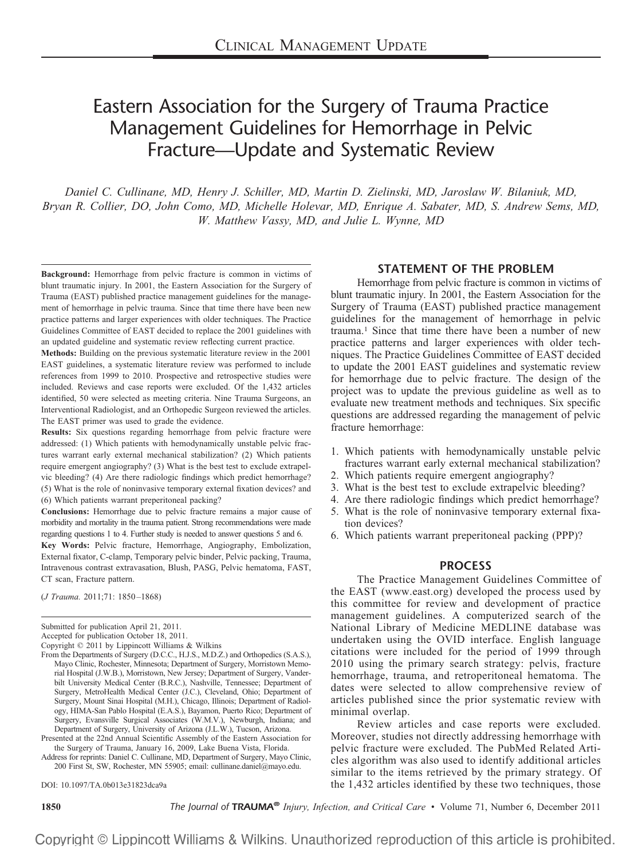# Eastern Association for the Surgery of Trauma Practice Management Guidelines for Hemorrhage in Pelvic Fracture—Update and Systematic Review

*Daniel C. Cullinane, MD, Henry J. Schiller, MD, Martin D. Zielinski, MD, Jaroslaw W. Bilaniuk, MD, Bryan R. Collier, DO, John Como, MD, Michelle Holevar, MD, Enrique A. Sabater, MD, S. Andrew Sems, MD, W. Matthew Vassy, MD, and Julie L. Wynne, MD*

**Background:** Hemorrhage from pelvic fracture is common in victims of blunt traumatic injury. In 2001, the Eastern Association for the Surgery of Trauma (EAST) published practice management guidelines for the management of hemorrhage in pelvic trauma. Since that time there have been new practice patterns and larger experiences with older techniques. The Practice Guidelines Committee of EAST decided to replace the 2001 guidelines with an updated guideline and systematic review reflecting current practice.

**Methods:** Building on the previous systematic literature review in the 2001 EAST guidelines, a systematic literature review was performed to include references from 1999 to 2010. Prospective and retrospective studies were included. Reviews and case reports were excluded. Of the 1,432 articles identified, 50 were selected as meeting criteria. Nine Trauma Surgeons, an Interventional Radiologist, and an Orthopedic Surgeon reviewed the articles. The EAST primer was used to grade the evidence.

**Results:** Six questions regarding hemorrhage from pelvic fracture were addressed: (1) Which patients with hemodynamically unstable pelvic fractures warrant early external mechanical stabilization? (2) Which patients require emergent angiography? (3) What is the best test to exclude extrapelvic bleeding? (4) Are there radiologic findings which predict hemorrhage? (5) What is the role of noninvasive temporary external fixation devices? and (6) Which patients warrant preperitoneal packing?

**Conclusions:** Hemorrhage due to pelvic fracture remains a major cause of morbidity and mortality in the trauma patient. Strong recommendations were made regarding questions 1 to 4. Further study is needed to answer questions 5 and 6.

**Key Words:** Pelvic fracture, Hemorrhage, Angiography, Embolization, External fixator, C-clamp, Temporary pelvic binder, Pelvic packing, Trauma, Intravenous contrast extravasation, Blush, PASG, Pelvic hematoma, FAST, CT scan, Fracture pattern.

(*J Trauma.* 2011;71: 1850 –1868)

Submitted for publication April 21, 2011.

Accepted for publication October 18, 2011.

Copyright  $©$  2011 by Lippincott Williams & Wilkins

From the Departments of Surgery (D.C.C., H.J.S., M.D.Z.) and Orthopedics (S.A.S.), Mayo Clinic, Rochester, Minnesota; Department of Surgery, Morristown Memorial Hospital (J.W.B.), Morristown, New Jersey; Department of Surgery, Vanderbilt University Medical Center (B.R.C.), Nashville, Tennessee; Department of Surgery, MetroHealth Medical Center (J.C.), Cleveland, Ohio; Department of Surgery, Mount Sinai Hospital (M.H.), Chicago, Illinois; Department of Radiology, HIMA-San Pablo Hospital (E.A.S.), Bayamon, Puerto Rico; Department of Surgery, Evansville Surgical Associates (W.M.V.), Newburgh, Indiana; and Department of Surgery, University of Arizona (J.L.W.), Tucson, Arizona.

Presented at the 22nd Annual Scientific Assembly of the Eastern Association for the Surgery of Trauma, January 16, 2009, Lake Buena Vista, Florida.

Address for reprints: Daniel C. Cullinane, MD, Department of Surgery, Mayo Clinic, 200 First St, SW, Rochester, MN 55905; email: cullinane.daniel@mayo.edu.

DOI: 10.1097/TA.0b013e31823dca9a

**1850** *The Journal of TRAUMA® Injury, Infection, and Critical Care* • Volume 71, Number 6, December 2011

# **STATEMENT OF THE PROBLEM**

Hemorrhage from pelvic fracture is common in victims of blunt traumatic injury. In 2001, the Eastern Association for the Surgery of Trauma (EAST) published practice management guidelines for the management of hemorrhage in pelvic trauma.1 Since that time there have been a number of new practice patterns and larger experiences with older techniques. The Practice Guidelines Committee of EAST decided to update the 2001 EAST guidelines and systematic review for hemorrhage due to pelvic fracture. The design of the project was to update the previous guideline as well as to evaluate new treatment methods and techniques. Six specific questions are addressed regarding the management of pelvic fracture hemorrhage:

- 1. Which patients with hemodynamically unstable pelvic fractures warrant early external mechanical stabilization?
- 2. Which patients require emergent angiography?
- 3. What is the best test to exclude extrapelvic bleeding?
- 4. Are there radiologic findings which predict hemorrhage?
- 5. What is the role of noninvasive temporary external fixation devices?
- 6. Which patients warrant preperitoneal packing (PPP)?

#### **PROCESS**

The Practice Management Guidelines Committee of the EAST (www.east.org) developed the process used by this committee for review and development of practice management guidelines. A computerized search of the National Library of Medicine MEDLINE database was undertaken using the OVID interface. English language citations were included for the period of 1999 through 2010 using the primary search strategy: pelvis, fracture hemorrhage, trauma, and retroperitoneal hematoma. The dates were selected to allow comprehensive review of articles published since the prior systematic review with minimal overlap.

Review articles and case reports were excluded. Moreover, studies not directly addressing hemorrhage with pelvic fracture were excluded. The PubMed Related Articles algorithm was also used to identify additional articles similar to the items retrieved by the primary strategy. Of the 1,432 articles identified by these two techniques, those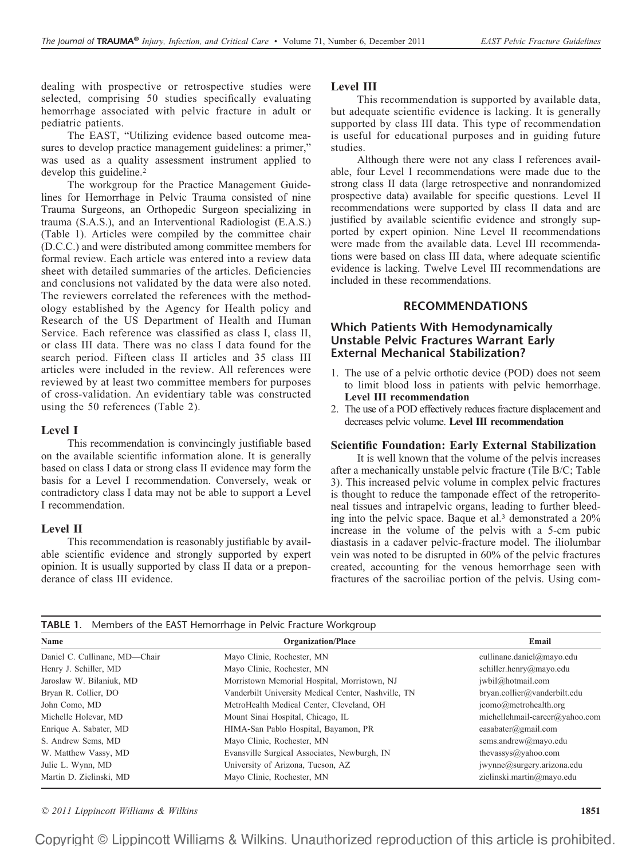dealing with prospective or retrospective studies were selected, comprising 50 studies specifically evaluating hemorrhage associated with pelvic fracture in adult or pediatric patients.

The EAST, "Utilizing evidence based outcome measures to develop practice management guidelines: a primer," was used as a quality assessment instrument applied to develop this guideline.<sup>2</sup>

The workgroup for the Practice Management Guidelines for Hemorrhage in Pelvic Trauma consisted of nine Trauma Surgeons, an Orthopedic Surgeon specializing in trauma (S.A.S.), and an Interventional Radiologist (E.A.S.) (Table 1). Articles were compiled by the committee chair (D.C.C.) and were distributed among committee members for formal review. Each article was entered into a review data sheet with detailed summaries of the articles. Deficiencies and conclusions not validated by the data were also noted. The reviewers correlated the references with the methodology established by the Agency for Health policy and Research of the US Department of Health and Human Service. Each reference was classified as class I, class II, or class III data. There was no class I data found for the search period. Fifteen class II articles and 35 class III articles were included in the review. All references were reviewed by at least two committee members for purposes of cross-validation. An evidentiary table was constructed using the 50 references (Table 2).

#### **Level I**

This recommendation is convincingly justifiable based on the available scientific information alone. It is generally based on class I data or strong class II evidence may form the basis for a Level I recommendation. Conversely, weak or contradictory class I data may not be able to support a Level I recommendation.

## **Level II**

This recommendation is reasonably justifiable by available scientific evidence and strongly supported by expert opinion. It is usually supported by class II data or a preponderance of class III evidence.

#### **Level III**

This recommendation is supported by available data, but adequate scientific evidence is lacking. It is generally supported by class III data. This type of recommendation is useful for educational purposes and in guiding future studies.

Although there were not any class I references available, four Level I recommendations were made due to the strong class II data (large retrospective and nonrandomized prospective data) available for specific questions. Level II recommendations were supported by class II data and are justified by available scientific evidence and strongly supported by expert opinion. Nine Level II recommendations were made from the available data. Level III recommendations were based on class III data, where adequate scientific evidence is lacking. Twelve Level III recommendations are included in these recommendations.

## **RECOMMENDATIONS**

# **Which Patients With Hemodynamically Unstable Pelvic Fractures Warrant Early External Mechanical Stabilization?**

- 1. The use of a pelvic orthotic device (POD) does not seem to limit blood loss in patients with pelvic hemorrhage. **Level III recommendation**
- 2. The use of a POD effectively reduces fracture displacement and decreases pelvic volume. **Level III recommendation**

#### **Scientific Foundation: Early External Stabilization**

It is well known that the volume of the pelvis increases after a mechanically unstable pelvic fracture (Tile B/C; Table 3). This increased pelvic volume in complex pelvic fractures is thought to reduce the tamponade effect of the retroperitoneal tissues and intrapelvic organs, leading to further bleeding into the pelvic space. Baque et al.3 demonstrated a 20% increase in the volume of the pelvis with a 5-cm pubic diastasis in a cadaver pelvic-fracture model. The iliolumbar vein was noted to be disrupted in 60% of the pelvic fractures created, accounting for the venous hemorrhage seen with fractures of the sacroiliac portion of the pelvis. Using com-

|                               | <b>TABLE 1.</b> Members of the EAST Hemorrhage in Pelvic Fracture Workgroup |                                |
|-------------------------------|-----------------------------------------------------------------------------|--------------------------------|
| Name                          | <b>Organization/Place</b>                                                   | Email                          |
| Daniel C. Cullinane, MD-Chair | Mayo Clinic, Rochester, MN                                                  | cullinane.daniel@mayo.edu      |
| Henry J. Schiller, MD         | Mayo Clinic, Rochester, MN                                                  | schiller.henry@mayo.edu        |
| Jaroslaw W. Bilaniuk, MD      | Morristown Memorial Hospital, Morristown, NJ                                | iwbil@hotmail.com              |
| Bryan R. Collier, DO          | Vanderbilt University Medical Center, Nashville, TN                         | bryan.collier@vanderbilt.edu   |
| John Como, MD                 | MetroHealth Medical Center, Cleveland, OH                                   | $icomo@method$ th.org          |
| Michelle Holevar, MD          | Mount Sinai Hospital, Chicago, IL                                           | michellehmail-career@yahoo.com |
| Enrique A. Sabater, MD        | HIMA-San Pablo Hospital, Bayamon, PR                                        | easabater@gmail.com            |
| S. Andrew Sems, MD            | Mayo Clinic, Rochester, MN                                                  | sems.andrew@mayo.edu           |
| W. Matthew Vassy, MD          | Evansville Surgical Associates, Newburgh, IN                                | thevassys@yahoo.com            |
| Julie L. Wynn, MD             | University of Arizona, Tucson, AZ                                           | jwynne@surgery.arizona.edu     |
| Martin D. Zielinski, MD       | Mayo Clinic, Rochester, MN                                                  | zielinski.martin@mayo.edu      |

*© 2011 Lippincott Williams & Wilkins* **1851**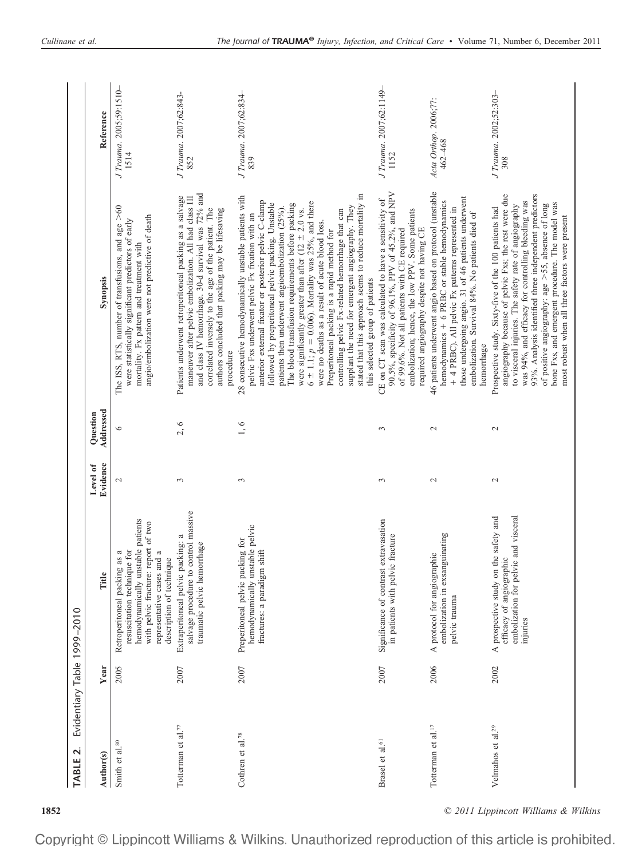| $\overline{\mathbf{v}}$<br><b>TABLE</b> |      | Evidentiary Table 1999-2010                                                                                                                                                                                          |                      |                       |                                                                                                                                                                                                                                                                                                                                                                                                                                                                                                                                                                                                                                                                                                                                                             |                                  |
|-----------------------------------------|------|----------------------------------------------------------------------------------------------------------------------------------------------------------------------------------------------------------------------|----------------------|-----------------------|-------------------------------------------------------------------------------------------------------------------------------------------------------------------------------------------------------------------------------------------------------------------------------------------------------------------------------------------------------------------------------------------------------------------------------------------------------------------------------------------------------------------------------------------------------------------------------------------------------------------------------------------------------------------------------------------------------------------------------------------------------------|----------------------------------|
| Author(s)                               | Year | Title                                                                                                                                                                                                                | Evidence<br>Level of | Addressed<br>Question | Synopsis                                                                                                                                                                                                                                                                                                                                                                                                                                                                                                                                                                                                                                                                                                                                                    | Reference                        |
| Smith et al. <sup>80</sup>              | 2005 | hemodynamically unstable patients<br>with pelvic fracture: report of two<br>for<br>$\overline{a}$<br>Retroperitoneal packing as a<br>representative cases and<br>description of technique<br>resuscitation technique | $\sim$               | ৩                     | The ISS, RTS, number of transfusions, and age $>60$<br>angio/embolization were not predictive of death<br>were statistically significant predictors of early<br>mortality. Fx pattern and treatment with                                                                                                                                                                                                                                                                                                                                                                                                                                                                                                                                                    | J Trauma. 2005;59:1510-<br>1514  |
| Totterman et al. <sup>77</sup>          | 2007 | salvage procedure to control massive<br>Extraperitoneal pelvic packing: a<br>traumatic pelvic hemorrhage                                                                                                             | 3                    | 2, 6                  | and class IV hemorrhage. 30-d survival was 72% and<br>Patients underwent retroperitoneal packing as a salvage<br>maneuver after pelvic embolization. All had class III<br>correlated inversely to the age of the patient. The<br>authors concluded that packing may be lifesaving<br>procedure                                                                                                                                                                                                                                                                                                                                                                                                                                                              | J Trauma. 2007;62:843-<br>852    |
| Cothren et al. <sup>78</sup>            | 2007 | hemodynamically unstable pelvic<br>Preperitoneal pelvic packing for<br>fractures: a paradigm shift                                                                                                                   | 3                    | 1, 6                  | stated that this approach seems to reduce mortality in<br>28 consecutive hemodynamically unstable patients with<br>anterior external fixator or posterior pelvic C-clamp<br>6 ± 1.1; $p = 0.006$ ). Mortality was 25%, and there<br>followed by preperitoneal pelvic packing. Unstable<br>The blood transfusion requirements before packing<br>supplant the need for emergent angiography. They<br>patients then underwent angioembolization (25%).<br>were significantly greater than after (12 $\pm$ 2.0 vs.<br>controlling pelvic Fx-related hemorrhage that can<br>pelvic Fxs underwent pelvic Fx fixation with an<br>were no deaths as a result of acute blood loss.<br>Preperitoneal packing is a rapid method for<br>this selected group of patients | J Trauma. 2007;62:834-<br>839    |
| Brasel et al. <sup>61</sup>             | 2007 | Significance of contrast extravasation<br>in patients with pelvic fracture                                                                                                                                           | 3                    | 3                     | 90.5%, specificity of 96.1%, PPV of 45.2%, and NPV<br>CE on CT scan was calculated to have a sensitivity of<br>embolization; hence, the low PPV. Some patients<br>required angiography despite not having CE<br>of 99.6%. Not all patients with CE required                                                                                                                                                                                                                                                                                                                                                                                                                                                                                                 | J Trauma. 2007;62:1149<br>1152   |
| Totterman et al. <sup>17</sup>          | 2006 | embolization in exsanguinating<br>A protocol for angiographic<br>pelvic trauma                                                                                                                                       | $\mathbf{\sim}$      | $\mathbf{\sim}$       | 46 patients underwent angio based on protocol (unstable<br>those undergoing angio. 31 of 46 patients underwent<br>hemodynamics + 6 PRBC or stable hemodynamics<br>+ 4 PRBC). All pelvic Fx patterns represented in<br>embolization. Survival 84%. No patients died of<br>hemorrhage                                                                                                                                                                                                                                                                                                                                                                                                                                                                         | Acta Orthop. 2006;77:<br>462-468 |
| Velmahos et al. <sup>29</sup>           | 2002 | and visceral<br>A prospective study on the safety and<br>efficacy of angiographic<br>embolization for pelvic<br>injuries                                                                                             | $\sim$               | $\mathbf{\sim}$       | angiography because of pelvic Fxs; the rest were due<br>93%. Analysis identified three independent predictors<br>was 94%, and efficacy for controlling bleeding was<br>bone Fxs, and emergent procedure. The model was<br>of positive angiography: age >55, absence of long<br>to visceral injuries. The safety rate of angiography<br>Prospective study. Sixty-five of the 100 patients had<br>most robust when all three factors were present                                                                                                                                                                                                                                                                                                             | J Trauma. 2002;52:303<br>308     |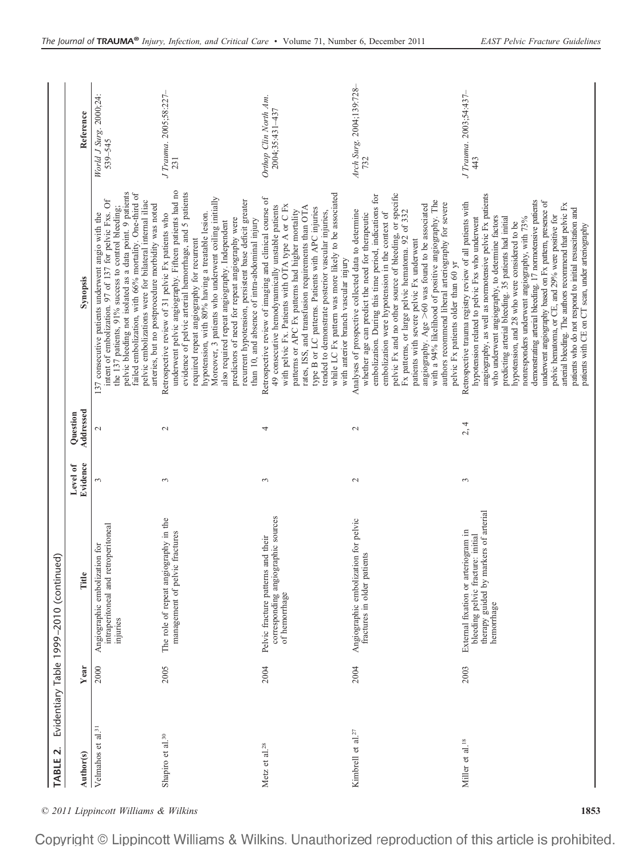| $\mathbf 2$<br><b>TABLE</b>   |      | $\widehat{\sigma}$<br>Evidentiary Table 1999-2010 (continue                                                                     |                      |                       |                                                                                                                                                                                                                                                                                                                                                                                                                                                                                                                                                                                                                                                                                                                                              |                                          |
|-------------------------------|------|---------------------------------------------------------------------------------------------------------------------------------|----------------------|-----------------------|----------------------------------------------------------------------------------------------------------------------------------------------------------------------------------------------------------------------------------------------------------------------------------------------------------------------------------------------------------------------------------------------------------------------------------------------------------------------------------------------------------------------------------------------------------------------------------------------------------------------------------------------------------------------------------------------------------------------------------------------|------------------------------------------|
| Author(s)                     | Year | Title                                                                                                                           | Evidence<br>Level of | Addressed<br>Question | Synopsis                                                                                                                                                                                                                                                                                                                                                                                                                                                                                                                                                                                                                                                                                                                                     | Reference                                |
| Velmahos et al. <sup>31</sup> | 2000 | intraperitoneal and retroperitoneal<br>Angiographic embolization for<br>injuries                                                | 3                    | $\mathbf 2$           | pelvic bleeding not isolated as a data point. 9 patients<br>failed embolization, with 66% mortality. One-third of<br>intent of embolization. 97 of 137 for pelvic Fxs. Of<br>pelvic embolizations were for bilateral internal iliac<br>arteries, but no postprocedure morbidity was noted<br>the 137 patients, 91% success to control bleeding;<br>137 consecutive patients underwent angio with the                                                                                                                                                                                                                                                                                                                                         | World J Surg. 2000;24:<br>539-545        |
| Shapiro et al. <sup>30</sup>  | 2005 | The role of repeat angiography in the<br>fractures<br>management of pelvic                                                      | 3                    | $\sim$                | underwent pelvic angiography. Fifteen patients had no<br>evidence of pelvic arterial hemorrhage, and 5 patients<br>Moreover, 3 patients who underwent coiling initially<br>recurrent hypotension, persistent base deficit greater<br>hypotension, with 80% having a treatable lesion.<br>Retrospective review of 31 pelvic Fx patients who<br>predictors of need for repeat angiography were<br>than 10, and absence of intra-abdominal injury<br>also required repeat angiography. Independent<br>required repeat angiography for recurrent                                                                                                                                                                                                 | J Trauma. 2005;58:227-<br>231            |
| Metz et al. <sup>28</sup>     | 2004 | corresponding angiographic sources<br>Pelvic fracture patterns and their<br>of hemorrhage                                       | 3                    | 4                     | while LC Fx pattern was more likely to be associated<br>Retrospective review of imaging and clinical course of<br>with pelvic Fx. Patients with OTA type A or C Fx<br>49 consecutive hemodynamically unstable patients<br>rates, ISS, and transfusion requirements than OTA<br>type B or LC patterns. Patients with APC injuries<br>patterns or APC Fx patterns had higher mortality<br>tended to demonstrate posterior vascular injuries,<br>with anterior branch vascular injury                                                                                                                                                                                                                                                           | Orthop Clin North Am.<br>2004;35:431-437 |
| Kimbrell et al. <sup>27</sup> | 2004 | Angiographic embolization for pelvic<br>fractures in older patients                                                             | $\sim$               | $\sim$                | pelvic Fx and no other source of bleeding, or specific<br>embolization. During this time period, indications for<br>with a 94% likelihood of positive angiography. The<br>authors recommend liberal arteriography for severe<br>angiography. Age $>60$ was found to be associated<br>Analyses of prospective collected data to determine<br>Fx patterns, or large pelvic hematoma. 92 of 332<br>embolization were hypotension in the context of<br>whether age can predict the need for therapeutic<br>patients with severe pelvic Fx underwent<br>pelvic Fx patients older than 60 yr                                                                                                                                                       | Arch Surg. 2004;139:728-<br>732          |
| Miller et al. <sup>18</sup>   | 2003 | therapy guided by markers of arterial<br>hemorrhage<br>External fixation or arteriogram in<br>bleeding pelvic fracture: initial | $\epsilon$           | 2, 4                  | angiography, as well as normotensive pelvic Fx patients<br>demonstrating arterial bleeding. 17 normotensive patients<br>underwent angiography based on Fx pattern, presence of<br>Retrospective trauma registry review of all patients with<br>arterial bleeding. The authors recommend that pelvic Fx<br>patients who do not respond to initial resuscitation and<br>pelvic hematoma, or CE, and 29% were positive for<br>who underwent angiography, to determine factors<br>hypotension related to pelvic Fxs who underwent<br>predicting arterial bleeding. 35 patients had initial<br>nonresponders underwent angiography, with 73%<br>hypotension, and 28 who were considered to be<br>patients with CE on CT scan, under arteriography | J Trauma. 2003;54:437-<br>443            |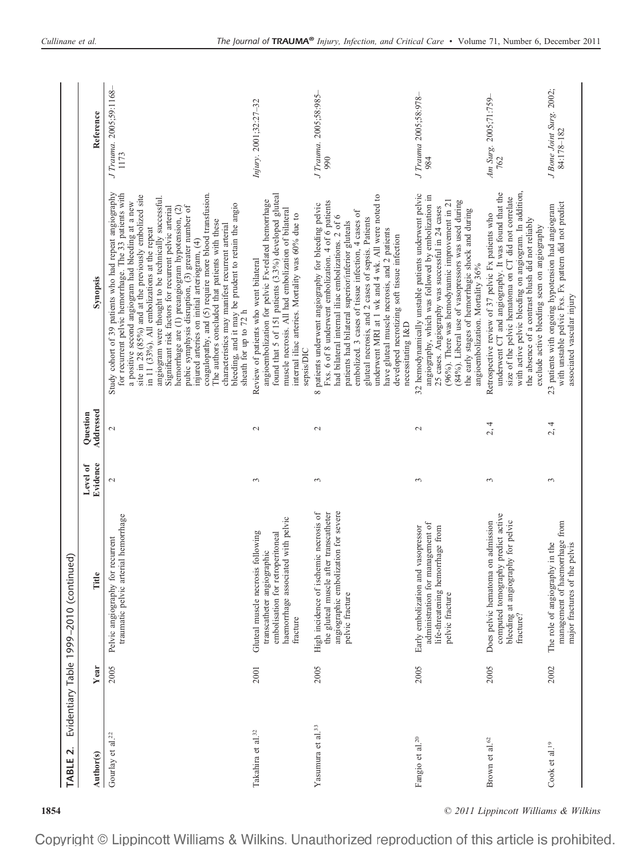| $\mathbf{N}$<br><b>TABLE</b>  |      | Evidentiary Table 1999-2010 (continued)                                                                                                                  |                      |                       |                                                                                                                                                                                                                                                                                                                                                                                                                                                                                                                                                                                                                                                                                                                                                                                                        |                                        |
|-------------------------------|------|----------------------------------------------------------------------------------------------------------------------------------------------------------|----------------------|-----------------------|--------------------------------------------------------------------------------------------------------------------------------------------------------------------------------------------------------------------------------------------------------------------------------------------------------------------------------------------------------------------------------------------------------------------------------------------------------------------------------------------------------------------------------------------------------------------------------------------------------------------------------------------------------------------------------------------------------------------------------------------------------------------------------------------------------|----------------------------------------|
| Author(s)                     | Year | Title                                                                                                                                                    | Evidence<br>Level of | Addressed<br>Question | Synopsis                                                                                                                                                                                                                                                                                                                                                                                                                                                                                                                                                                                                                                                                                                                                                                                               | Reference                              |
| Gourlay et al. <sup>22</sup>  | 2005 | traumatic pelvic arterial hemorrhage<br>Pelvic angiography for recurrent                                                                                 | $\mathbf 2$          | $\mathbf 2$           | coagulopathy, and (5) require more blood transfusion.<br>Study cohort of 39 patients who had repeat angiography<br>for recurrent pelvic hemorrhage. The 33 patients with<br>site in 28 (85%) and at the previously embolized site<br>angiogram were thought to be technically successful.<br>a positive second angiogram had bleeding at a new<br>bleeding, and it may be prudent to retain the angio<br>pubic symphysis disruption, (3) greater number of<br>Significant risk factors for recurrent pelvic arterial<br>hemorrhage are (1) preangiogram hypotension, (2)<br>The authors concluded that patients with these<br>characteristics may manifest recurrent arterial<br>in 11 (33%). All embolizations at the repeat<br>injured arteries on initial arteriogram, (4)<br>sheath for up to 72 h | J Trauma. 2005;59:1168-<br>1173        |
| Takahira et al. <sup>32</sup> | 2001 | haemorrhage associated with pelvic<br>following<br>embolisation for retroperitoneal<br>transcatheter angiographic<br>Gluteal muscle necrosis<br>fracture | 3                    | $\sim$                | found that 5 of 151 patients (3.3%) developed gluteal<br>angioembolization for pelvic Fx-related hemorrhage<br>muscle necrosis. All had embolization of bilateral<br>internal iliac arteries. Mortality was 60% due to<br>Review of patients who went bilateral<br>sepsis/DIC                                                                                                                                                                                                                                                                                                                                                                                                                                                                                                                          | Injury. 2001;32:27-32                  |
| Yasumura et al. <sup>33</sup> | 2005 | High incidence of ischemic necrosis of<br>angiographic embolization for severe<br>the gluteal muscle after transcatheter<br>pelvic fracture              | 3                    | $\mathbf 2$           | underwent MRI at 1 wk and 4 wk. All were noted to<br>Fxs. 6 of 8 underwent embolization. 4 of 6 patients<br>8 patients underwent angiography for bleeding pelvic<br>embolized. 3 cases of tissue infection, 4 cases of<br>had bilateral internal iliac embolizations. 2 of 6<br>gluteal necrosis, and 2 cases of sepsis. Patients<br>patients had bilateral superior/inferior gluteals<br>have gluteal muscle necrosis, and 2 patients<br>developed necrotizing soft tissue infection<br>necessitating I&D                                                                                                                                                                                                                                                                                             | J Trauma. 2005;58:985-<br>990          |
| Fangio et al. <sup>20</sup>   | 2005 | administration for management of<br>Early embolization and vasopressor<br>life-threatening hemorrhage from<br>pelvic fracture                            | ξ                    | $\mathbf 2$           | 32 hemodynamically unstable patients underwent pelvic<br>angiography, which was followed by embolization in<br>(96%). There was hemodynamic improvement in 21<br>(84%). Liberal use of vasopressors was used during<br>25 cases. Angiography was successful in 24 cases<br>the early stages of hemorrhagic shock and during<br>angioembolization. Mortality 36%                                                                                                                                                                                                                                                                                                                                                                                                                                        | J Trauma 2005;58:978<br>984            |
| Brown et al. <sup>62</sup>    | 2005 | computed tomography predict active<br>bleeding at angiography for pelvic<br>fracture?<br>Does pelvic hematoma on admission                               | 3                    | 2, 4                  | with active pelvic bleeding on angiogram. In addition,<br>underwent CT and angiography. It was found that the<br>size of the pelvic hematoma on CT did not correlate<br>Retrospective review of 37 pelvic Fx patients who<br>the absence of a contrast blush did not reliably<br>exclude active bleeding seen on angiography                                                                                                                                                                                                                                                                                                                                                                                                                                                                           | Am Surg. 2005;71:759-<br>762           |
| Cook et al. <sup>19</sup>     | 2002 | management of haemorrhage from<br>in the<br>pelvis<br>The role of angiography<br>major fractures of the                                                  | 3                    | 2, 4                  | with unstable pelvic Fxs. Fx pattern did not predict<br>23 patients with ongoing hypotension had angiogram<br>associated vascular injury                                                                                                                                                                                                                                                                                                                                                                                                                                                                                                                                                                                                                                                               | J Bone Joint Surg. 2002;<br>84:178-182 |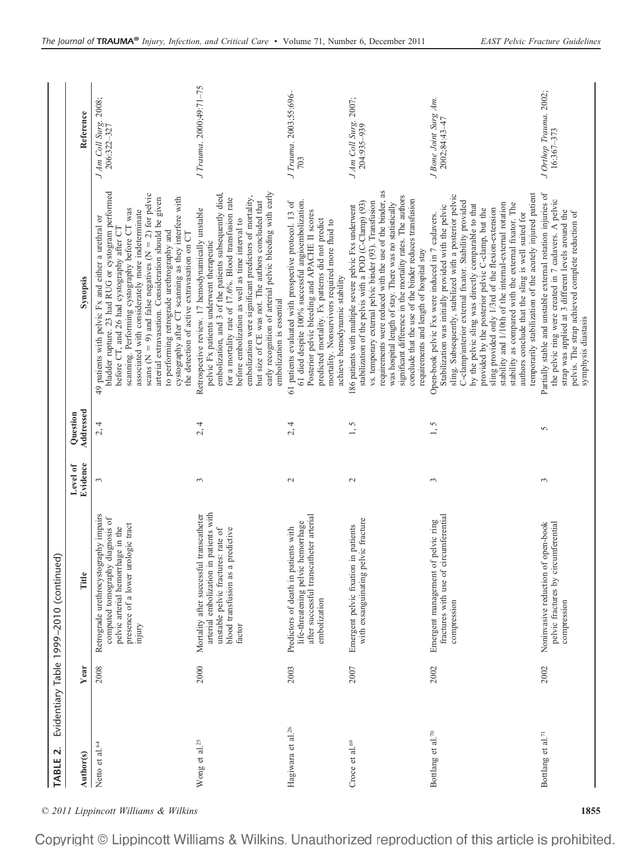| $\mathbf{v}$<br>TABLE         |      | ਰਿ<br>Evidentiary Table 1999-2010 (continue                                                                                                                                |                      |                       |                                                                                                                                                                                                                                                                                                                                                                                                                                                                                                                                                                                                                                    |                                             |
|-------------------------------|------|----------------------------------------------------------------------------------------------------------------------------------------------------------------------------|----------------------|-----------------------|------------------------------------------------------------------------------------------------------------------------------------------------------------------------------------------------------------------------------------------------------------------------------------------------------------------------------------------------------------------------------------------------------------------------------------------------------------------------------------------------------------------------------------------------------------------------------------------------------------------------------------|---------------------------------------------|
| Author(s)                     | Year | Title                                                                                                                                                                      | Evidence<br>Level of | Addressed<br>Question | Synopsis                                                                                                                                                                                                                                                                                                                                                                                                                                                                                                                                                                                                                           | Reference                                   |
| Netto et al. <sup>64</sup>    | 2008 | Retrograde urethrocystography impairs<br>computed tomography diagnosis of<br>presence of a lower urologic tract<br>pelvic arterial hemorrhage in the<br>yurjury            |                      | 2, 4                  | bladder rupture. 23 had RUG or cystogram performed<br>scans ( $N = 9$ ) and false negatives ( $N = 2$ ) for pelvic<br>cystography after CT scanning as they interfere with<br>arterial extravasation. Consideration should be given<br>scanning. Performing cystography before CT was<br>associated with considerately more indeterminate<br>49 patients with pelvic Fx and either a urethral or<br>before CT, and 26 had cystography after CT<br>to performing retrograde urethrography and<br>the detection of active extravasation on CT                                                                                        | <i>J Am Coll Surg.</i> 2008;<br>206:322-327 |
| Wong et al. <sup>25</sup>     | 2000 | arterial embolization in patients with<br>Mortality after successful transcatheter<br>unstable pelvic fractures: rate of<br>predictive<br>blood transfusion as a<br>factor | 3                    | 4<br>$\overline{c}$   | early recognition of arterial pelvic bleeding with early<br>embolization, and 3 of the patients subsequently died,<br>embolization were significant predictors of mortality,<br>for a mortality rate of 17.6%. Blood transfusion rate<br>but size of CE was not. The authors concluded that<br>Retrospective review. 17 hemodynamically unstable<br>before embolization as well as time interval to<br>pelvic Fx patients underwent therapeutic<br>embolization is essential                                                                                                                                                       | J Trauma. 2000;49:71-75                     |
| Hagiwara et al. <sup>26</sup> | 2003 | after successful transcatheter arterial<br>life-threatening pelvic hemorrhage<br>Predictors of death in patients with<br>embolization                                      | $\sim$               | 2, 4                  | 61 died despite 100% successful angioembolization.<br>61 patients evaluated with prospective protocol. 13 of<br>Posterior pelvic bleeding and APACHE II scores<br>predicted mortality. Fx patterns did not predict<br>mortality. Nonsurvivors required more fluid to<br>achieve hemodynamic stability                                                                                                                                                                                                                                                                                                                              | J Trauma. 2003;55:696-<br>703               |
| Croce et al. <sup>69</sup>    | 2007 | with exsanguinating pelvic fracture<br>in patients<br>Emergent pelvic fixation                                                                                             | $\sim$               | 1, 5                  | requirements were reduced with the use of the binder, as<br>significant difference in the mortality rates. The authors<br>conclude that the use of the binder reduces transfusion<br>vs. temporary external pelvic binder (93). Transfusion<br>stabilization of the pelvis with a POD (C-Clamp) (93)<br>was hospital length of stay. There was no statistically<br>186 patients with multiple severe pelvic Fxs underwent<br>requirements and length of hospital stay                                                                                                                                                              | J Am Coll Surg. 2007;<br>204:935-939        |
| Bottlang et al.70             | 2002 | fractures with use of circumferential<br>Emergent management of pelvic ring<br>compression                                                                                 | 3                    | 1, 5                  | temporarily stabilization of the acutely injured patient<br>sling. Subsequently, stabilized with a posterior pelvic<br>C-clamp/anterior external fixator. Stability provided<br>stability and 1/10th of the internal-external rotation<br>stability as compared with the external fixator. The<br>by the pelvic sling was directly comparable to that<br>Stabilization was initially provided with the pelvic<br>sling provided only 1/3rd of the flexion-extension<br>provided by the posterior pelvic C-clamp, but the<br>authors conclude that the sling is well suited for<br>Open-book pelvic Fxs were induced in 7 cadavers. | $J$ Bone Joint Surg Am.<br>2002;84:43-47    |
| Bottlang et al. <sup>71</sup> | 2002 | pelvic fractures by circumferential<br>Noninvasive reduction of open-book<br>compression                                                                                   | 3                    | 5                     | Partially stable and unstable external rotation injuries of<br>the pelvic ring were created in 7 cadavers. A pelvic<br>strap was applied at 3 different levels around the<br>pelvis. The strap achieved complete reduction of<br>symphysis diastasis                                                                                                                                                                                                                                                                                                                                                                               | J Orthop Trauma. 2002;<br>16:367-373        |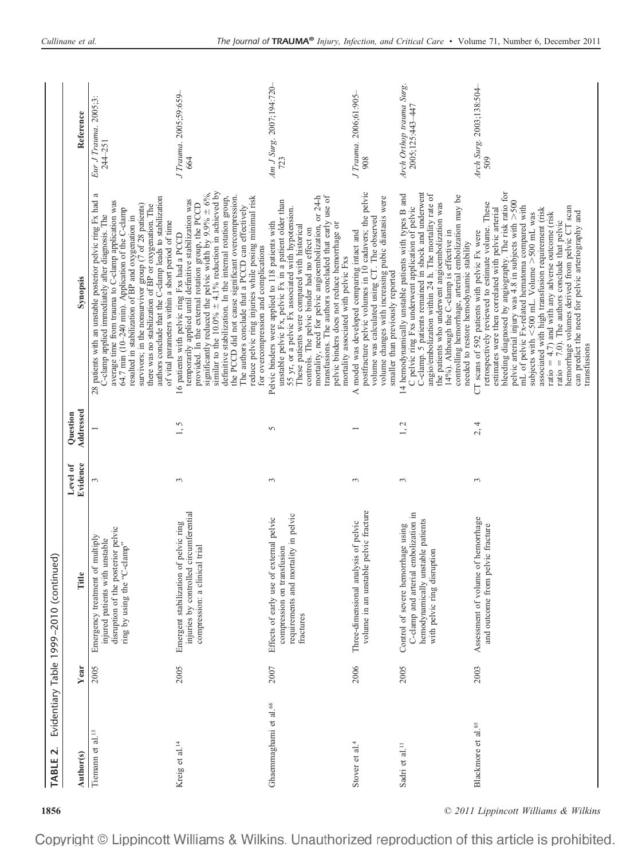| $\overline{\mathbf{N}}$<br><b>TABLE</b> |      | Evidentiary Table 1999-2010 (continued)                                                                                                        |                      |                       |                                                                                                                                                                                                                                                                                                                                                                                                                                                                                                                                                                                                                                                                    |                                              |
|-----------------------------------------|------|------------------------------------------------------------------------------------------------------------------------------------------------|----------------------|-----------------------|--------------------------------------------------------------------------------------------------------------------------------------------------------------------------------------------------------------------------------------------------------------------------------------------------------------------------------------------------------------------------------------------------------------------------------------------------------------------------------------------------------------------------------------------------------------------------------------------------------------------------------------------------------------------|----------------------------------------------|
| Author(s)                               | Year | Title                                                                                                                                          | Evidence<br>Level of | Addressed<br>Question | Synopsis                                                                                                                                                                                                                                                                                                                                                                                                                                                                                                                                                                                                                                                           | Reference                                    |
| Tiemann et al. <sup>13</sup>            | 2005 | disruption of the posterior pelvic<br>Emergency treatment of multiply<br>injured patients with unstable<br>ring by using the "C-clamp"         |                      |                       | 28 patients with an unstable posterior pelvic ring Fx had a C-clamp applied immediately after diagnosis. The<br>authors conclude that the C-clamp leads to stabilization<br>average time from trauma to C-clamp application was<br>resulted in stabilization of BP and oxygenation in<br>survivors; in the nonsurvivor group $(7 \text{ of } 28 \text{ patients})$<br>there was no stabilization of BP or oxygenation. The<br>64.7 min (10-240 min). Application of the C-clamp<br>of vital parameters within a short period of time                                                                                                                               | Eur J Trauma. 2005;3:<br>$244 - 251$         |
| Kreig et al. <sup>14</sup>              | 2005 | injuries by controlled circumferential<br>Emergent stabilization of pelvic ring<br>trial<br>compression: a clinical                            | 3                    | 1, 5                  | similar to the 10.0% $\pm$ 4.1% reduction in achieved by<br>significantly reduced the pelvic width by $9.9\% \pm 6\%$ ,<br>the PCCD did not cause significant overcompression.<br>reduce pelvic ring injuries while posing minimal risk<br>definitive stabilization. In the internal rotation group,<br>16 patients with pelvic ring Fxs had a PCCD<br>temporarily applied until definitive stabilization was<br>provided. In the external rotation group, the PCCD<br>The authors conclude that a PCCD can effectively<br>for overcompression and complications                                                                                                   | J Trauma. 2005;59:659<br>664                 |
| Ghaemmaghami et al. <sup>68</sup>       | 2007 | requirements and mortality in pelvic<br>Effects of early use of external pelvic<br>compression on transfusion<br>fractures                     | 3                    | 5                     | mortality, need for pelvic angioembolization, or 24-h<br>transfusions. The authors concluded that early use of<br>unstable pelvic Fx, pelvic Fx in a patient older than<br>55 yr, or a pelvic Fx associated with hypotension.<br>Pelvic binders were applied to 118 patients with<br>pelvic binders does not reduce hemorrhage or<br>These patients were compared with historical<br>controls. The pelvic binder had no effect on<br>mortality associated with pelvic Fxs                                                                                                                                                                                          | Am J Surg. 2007;194:720-                     |
| Stover et al. <sup>4</sup>              | 2006 | volume in an unstable pelvic fracture<br>Three-dimensional analysis of pelvic                                                                  | 3                    |                       | postfracture pelvic volumes in 10 cadavers; the pelvic<br>volume changes with increasing pubic diastasis were<br>volume was calculated using CT. The observed<br>A model was developed comparing intact and<br>smaller than previously reported                                                                                                                                                                                                                                                                                                                                                                                                                    | J Trauma. 2006;61:905-<br>908                |
| Sadri et al. <sup>11</sup>              | 2005 | C-clamp and arterial embolization in<br>hemodynamically unstable patients<br>Control of severe hemorrhage using<br>with pelvic ring disruption | $\sim$               | 1, 2                  | C pelvic ring Fxs underwent application of pelvic<br>C-clamp. 5 patients remained in shock and underwent<br>14 hemodynamically unstable patients with types B and<br>angio/embolization within 24 h. The mortality rate of<br>controlling hemorrhage, arterial embolization may be<br>the patients who underwent angioembolization was<br>14%). Although the C-clamp is effective in<br>needed to restore hemodynamic stability                                                                                                                                                                                                                                    | Arch Orthop trauma Surg.<br>2005;125:443-447 |
| Blackmore et al. <sup>85</sup>          | 2003 | hemorrhage<br>and outcome from pelvic fracture<br>Assessment of volume of                                                                      | 3                    | 4<br>2,               | bleeding diagnosed by angiography. The risk ratio for<br>pelvic arterial injury was 4.8 in subjects with >500<br>retrospectively reviewed to estimate volume. These<br>inL of pelvic Fx-related hematoma compared with<br>hemorrhage volumes derived from pelvic CT scan<br>estimates were then correlated with pelvic arterial<br>associated with high transfusion requirement (risk<br>can predict the need for pelvic arteriography and<br>ratio = 4.7) and with any adverse outcome (risk<br>ratio = 7.0). The authors conclude that pelvic<br>subjects with $<$ 500 mL. Volume $>$ 500 mL was<br>CT scans of 592 patients with pelvic Fx were<br>transfusions | Arch Surg. 2003;138:504-<br>509              |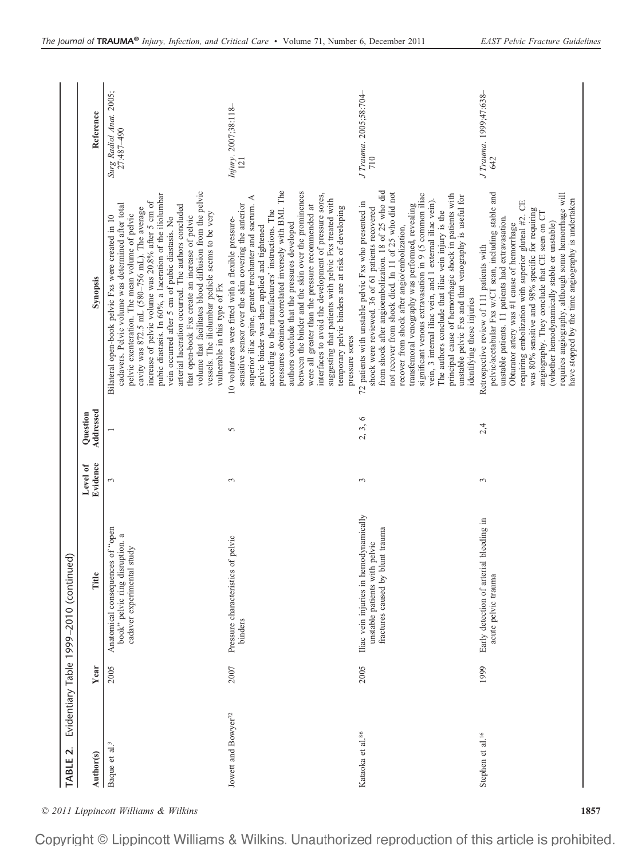| $\mathbf{N}$<br><b>TABLE</b>    |      | Evidentiary Table 1999-2010 (continued)                                                                        |                      |                       |                                                                                                                                                                                                                                                                                                                                                                                                                                                                                                                                                                                                                                                                                              |                                       |
|---------------------------------|------|----------------------------------------------------------------------------------------------------------------|----------------------|-----------------------|----------------------------------------------------------------------------------------------------------------------------------------------------------------------------------------------------------------------------------------------------------------------------------------------------------------------------------------------------------------------------------------------------------------------------------------------------------------------------------------------------------------------------------------------------------------------------------------------------------------------------------------------------------------------------------------------|---------------------------------------|
| Author(s)                       | Year | Title                                                                                                          | Evidence<br>Level of | Addressed<br>Question | Synopsis                                                                                                                                                                                                                                                                                                                                                                                                                                                                                                                                                                                                                                                                                     | Reference                             |
| Baque et al. <sup>3</sup>       | 2005 | Anatomical consequences of "open<br>book" pelvic ring disruption. a<br>cadaver experimental study              | 3                    |                       | volume that facilitates blood diffusion from the pelvic<br>pubic diastasis. In 60%, a laceration of the iliolumbar<br>increase of pelvic volume was 20.8% after 5 cm of<br>cadavers. Pelvic volume was determined after total<br>arterial laceration occurred. The authors concluded<br>cavity was 872.5 mL (580-756 mL). The average<br>vessels. The iliolumbar pedicle seems to be very<br>pelvic exenteration. The mean volume of pelvic<br>Bilateral open-book pelvic Fxs were created in 10<br>that open-book Fxs create an increase of pelvic<br>vein occurred after 5 cm of pubic diastasis. No<br>vulnerable in this type of Fx                                                      | Surg Radiol Anat. 2005;<br>27:487-490 |
| Jowett and Bowyer <sup>72</sup> | 2007 | Pressure characteristics of pelvic<br>binders                                                                  | 3                    | 5                     | pressures obtained correlated inversely with BMI. The<br>between the binder and the skin over the prominences<br>interfaces to avoid the development of pressure sores,<br>superior iliac spine, greater trochanter and sacrum. A<br>suggesting that patients with pelvic Fxs treated with<br>sensitive sensor over the skin covering the anterior<br>were all greater than the pressure recommended at<br>temporary pelvic binders are at risk of developing<br>according to the manufacturers' instructions. The<br>10 volunteers were fitted with a flexible pressure-<br>authors conclude that the pressures developed<br>pelvic binder was then applied and tightened<br>pressure sores | Injury. 2007;38:118-                  |
| Kataoka et al. <sup>86</sup>    | 2005 | Iliac vein injuries in hemodynamically<br>fractures caused by blunt trauma<br>pelvic<br>unstable patients with | 3                    | $\circ$<br>2, 3,      | from shock after angioembolization. 18 of 25 who did<br>not recover from shock died. In 11 of 25 who did not<br>significant venous extravasation in 9 (5 common iliac<br>principal cause of hemorrhagic shock in patients with<br>unstable pelvic Fxs and that venography is useful for<br>vein, 3 internal iliac vein, and 1 external iliac vein).<br>72 patients with unstable pelvic Fxs who presented in<br>transfemoral venography was performed, revealing<br>shock were reviewed. 36 of 61 patients recovered<br>The authors conclude that iliac vein injury is the<br>recover from shock after angio/embolization,<br>identifying these injuries                                     | J Trauma. 2005;58:704<br>710          |
| Stephen et al. <sup>16</sup>    | 1999 | bleeding in<br>Early detection of arterial<br>acute pelvic trauma                                              | 3                    | 2,4                   | pelvic/acetabular Fxs w/CT scan, including stable and<br>requires angiography, although some hemorrhage will<br>have stopped by the time angiography is undertaken<br>requiring embolization with superior gluteal #2. CE<br>was 80% sensitive and 98% specific for requiring<br>angiography. They conclude that CE seen on CT<br>unstable patients. 11 patients had extravasation.<br>(whether hemodynamically stable or unstable)<br>Obturator artery was #1 cause of hemorrhage<br>Retrospective review of 111 patients with                                                                                                                                                              | J Trauma. 1999;47:638-<br>642         |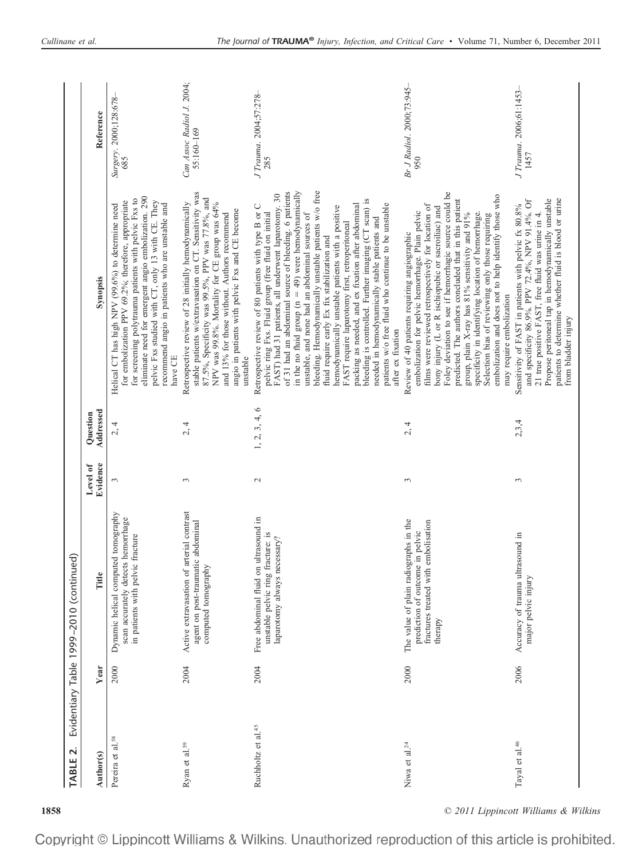|                                |      | $\overline{\phantom{0}}$<br>Evidentiary Table 1999-2010 (continued                                                         |                      |                       |                                                                                                                                                                                                                                                                                                                                                                                                                                                                                                                                                                                                                                                                                                                                                                                                    |                                         |
|--------------------------------|------|----------------------------------------------------------------------------------------------------------------------------|----------------------|-----------------------|----------------------------------------------------------------------------------------------------------------------------------------------------------------------------------------------------------------------------------------------------------------------------------------------------------------------------------------------------------------------------------------------------------------------------------------------------------------------------------------------------------------------------------------------------------------------------------------------------------------------------------------------------------------------------------------------------------------------------------------------------------------------------------------------------|-----------------------------------------|
| Author(s)                      | Year | Title                                                                                                                      | Evidence<br>Level of | Addressed<br>Question | Synopsis                                                                                                                                                                                                                                                                                                                                                                                                                                                                                                                                                                                                                                                                                                                                                                                           | Reference                               |
| Pereira et al. <sup>58</sup>   | 2000 | Dynamic helical computed tomography<br>scan accurately detects hemorrhage<br>in patients with pelvic fracture              | 3                    | 2, 4                  | eliminate need for emergent angio embolization. 290<br>for screening polytrauma patients with pelvic Fxs to<br>pelvic Fxs studied with CT, only 13 with CE. They<br>for embolization PPV 69.2%; therefore, appropriate<br>Helical CT has high NPV (99.6%) to determine need<br>recommend angio in patients who are unstable and<br>have CE                                                                                                                                                                                                                                                                                                                                                                                                                                                         | Surgery. 2000;128:678-                  |
| Ryan et al. <sup>59</sup>      | 2004 | Active extravasation of arterial contrast<br>agent on post-traumatic abdominal<br>computed tomography                      | 3                    | 4<br>$\overline{a}$   | stable patients w/extravasation on CT. Sensitivity was<br>87.5%, Specificity was 99.5%, PPV was 77.8%, and<br>Retrospective review of 28 initially hemodynamically<br>NPV was 99.8%. Mortality for CE group was 64%<br>angio in patients with pelvic Fxs and CE become<br>and 13% for those without. Authors recommend<br>unstable                                                                                                                                                                                                                                                                                                                                                                                                                                                                 | Can Assoc Radiol J. 2004;<br>55:160-169 |
| Ruchholtz et al. <sup>45</sup> | 2004 | Free abdominal fluid on ultrasound in<br>unstable pelvic ring fracture: is<br>laparotomy always necessary?                 | $\sim$               | 1, 2, 3, 4, 6         | in the no fluid group ( $n = 49$ ) were hemodynamically<br>bleeding. Hemodynamically unstable patients w/o free<br>of 31 had an abdominal source of bleeding. 6 patients<br>FAST) had 31 patients, all underwent laparotomy. 30<br>bleeding is controlled. Further imaging (CT scan) is<br>packing as needed, and ex fixation after abdominal<br>patients w/o free fluid who continue to be unstable<br>Retrospective review of 80 patients with type B or C<br>hemodynamically unstable patients with a positive<br>pelvic ring Fxs. Fluid group (free fluid on initial<br>unstable, and none had an abdominal sources of<br>needed in hemodynamically stable patients and<br>FAST require laparotomy first, retroperitoneal<br>fluid require early Ex fix stabilization and<br>after ex fixation | J Trauma. 2004;57:278-<br>285           |
| Niwa et al. <sup>24</sup>      | 2000 | The value of plain radiographs in the<br>fractures treated with embolisation<br>prediction of outcome in pelvic<br>therapy | 3                    | 2, 4                  | Foley deviation to see if hemorrhagic source could be<br>embolization and does not to help identify those who<br>predicted. The authors concluded that in this patient<br>films were reviewed retrospectively for location of<br>bony injury (L or R ischiopubic or sacroiliac) and<br>embolization for pelvic hemorrhage. Plain pelvic<br>specificity in identifying location of hemorrhage.<br>group, plain X-ray has 81% sensitivity and 91%<br>Selection bias of reviewing only those requiring<br>Review of 40 patients requiring angiographic<br>may require embolization                                                                                                                                                                                                                    | Br J Radiol. 2000;73:945-<br>950        |
| Tayal et al. <sup>46</sup>     | 2006 | Accuracy of trauma ultrasound in<br>major pelvic injury                                                                    | $\sim$               | 2,3,4                 | patients to determine whether fluid is blood or urine<br>and specificity 86.9%. PPV 72.4%, NPV 91.4%. Of<br>Propose peritoneal tap in hemodynamically unstable<br>Sensitivity of FAST in patients with pelvic fx 80.8%<br>21 true positive FAST, free fluid was urine in 4.<br>from bladder injury                                                                                                                                                                                                                                                                                                                                                                                                                                                                                                 | J Trauma. 2006;61:1453-<br>1457         |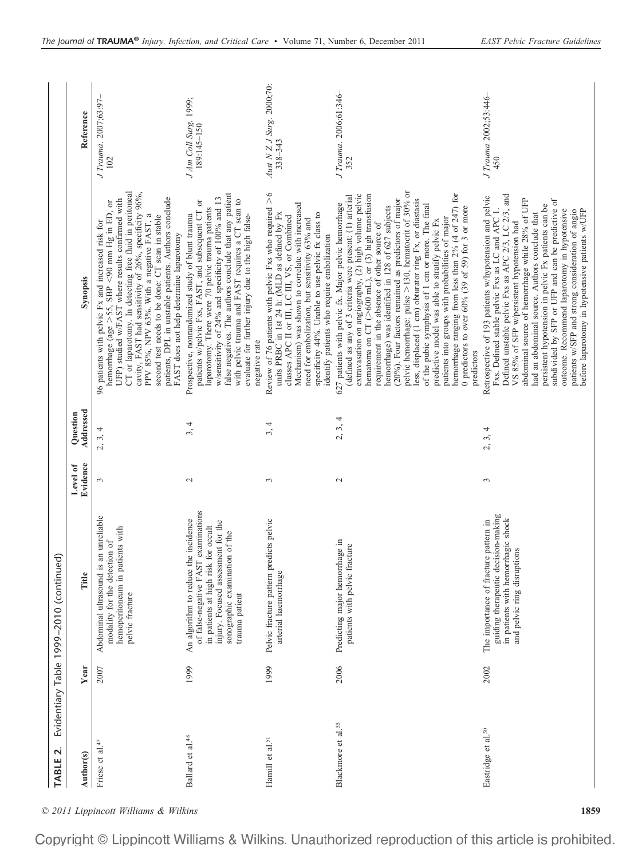| $\mathbf{v}$<br><b>TABLE</b>   |      | ਰਿ<br>Evidentiary Table 1999-2010 (continue                                                                                                                                                                     |                      |                       |                                                                                                                                                                                                                                                                                                                                                                                                                                                                                                                                                                                                                                                                                                                                                                                                   |                                             |
|--------------------------------|------|-----------------------------------------------------------------------------------------------------------------------------------------------------------------------------------------------------------------|----------------------|-----------------------|---------------------------------------------------------------------------------------------------------------------------------------------------------------------------------------------------------------------------------------------------------------------------------------------------------------------------------------------------------------------------------------------------------------------------------------------------------------------------------------------------------------------------------------------------------------------------------------------------------------------------------------------------------------------------------------------------------------------------------------------------------------------------------------------------|---------------------------------------------|
| Author(s)                      | Year | Title                                                                                                                                                                                                           | Evidence<br>Level of | Addressed<br>Question | Synopsis                                                                                                                                                                                                                                                                                                                                                                                                                                                                                                                                                                                                                                                                                                                                                                                          | Reference                                   |
| Friese et al. <sup>47</sup>    | 2007 | an unreliable<br>hemoperitoneum in patients with<br>modality for the detection of<br>Abdominal ultrasound is<br>pelvic fracture                                                                                 | 3                    | 2, 3, 4               | CT or laparotomy. In detecting free fluid in peritoneal cavity, FAST had sensitivity of $26\%$ , specificity $96\%$ ,<br>patients, DPL in unstable patients. Authors conclude<br>UFP) studied w/FAST where results confirmed with<br>hemorrhage (age $>55$ , SBP <90 mm Hg in ED, or<br>PPV 85%, NPV 63%. With a negative FAST, a<br>second test needs to be done: CT scan in stable<br>96 patients with pelvic Fx and increased risk for<br>FAST does not help determine laparotomy                                                                                                                                                                                                                                                                                                              | J Trauma. 2007;63:97-<br>102                |
| Ballard et al. <sup>48</sup>   | 1999 | of false-negative FAST examinations<br>An algorithm to reduce the incidence<br>injury. Focused assessment for the<br>for occult<br>sonographic examination of the<br>in patients at high risk<br>trauma patient | $\sim$               | 3, 4                  | false negatives. The authors conclude that any patient<br>w/sensitivity of 24% and specificity of 100% and 13<br>with pelvic trauma and FAST requires a CT scan to<br>patients w/pelvic Fxs, FAST, and subsequent CT or<br>laparotomy. There were 70 pelvic trauma patients<br>evaluate for further injury due to the high false-<br>Prospective, nonrandomized study of blunt trauma<br>negative rate                                                                                                                                                                                                                                                                                                                                                                                            | <i>J Am Coll Surg.</i> 1999;<br>189:145–150 |
| Hamill et al. <sup>51</sup>    | 1999 | Pelvic fracture pattern predicts pelvic<br>arterial haemorrhage                                                                                                                                                 | 3                    | 3, 4                  | Review of 76 patients with pelvic Fxs who required >6<br>Mechanism) was shown to correlate with increased<br>units PRBC in 1st 24 h: (MLD as defined by Fx<br>specificity 44%. Unable to use pelvic fx class to<br>classes APC II or III, LC III, VS, or Combined<br>need for embolization, but sensitivity 63% and<br>identify patients who require embolization                                                                                                                                                                                                                                                                                                                                                                                                                                 | Aust N Z J Surg. 2000;70:<br>$338 - 343$    |
| Blackmore et al. <sup>55</sup> | 2006 | Predicting major hemorrhage in<br>patients with pelvic fracture                                                                                                                                                 | $\mathcal{L}$        | 4<br>2, 3,            | pelvic hemorrhage: pulse >130, hematocrit of 30% or<br>hemorrhage ranging from less than $2\%$ (4 of 247) for 0 predictors to over 60% (39 of 59) for 3 or more<br>hematoma on CT (>600 mL), or (3) high transfusion<br>extravasation on angiography, (2) high volume pelvic<br>(defined as any of 3 criteria were present: (1) arterial<br>(20%). Four factors remained as predictors of major<br>less, displaced (1 cm) obturator ring Fx, or diastasis<br>627 patients with pelvic fx. Major pelvic hemorrhage<br>of the pubic symphysis of 1 cm or more. The final<br>hemorrhage) was identified in 128 of 627 subjects<br>patients into groups with probabilities of major<br>predictive model was able to stratify pelvic Fx<br>requirement in the absence of other source of<br>predictors | J Trauma. 2006;61:346-<br>352               |
| Eastridge et al. <sup>50</sup> | 2002 | guiding therapeutic decision-making<br>in patients with hemorrhagic shock<br>The importance of fracture pattern in<br>and pelvic ring disruptions                                                               | 3                    | 2, 3, 4               | Defined unstable pelvic Fxs as APC 2/3, LC 2/3, and<br>Retrospective of 193 patients w/hypotension and pelvic<br>abdominal source of hemorrhage while 28% of UFP<br>subdivided by SFP or UFP and can be predictive of<br>persistent hypotension in pelvic Fx patients can be<br>Fxs. Defined stable pelvic Fxs as LC and APC 1.<br>outcome. Recommend laparotomy in hypotensive<br>before laparotomy in hypotensive patients w/UFP<br>patients w/SFP and strong consideration of angio<br>had an abdominal source. Authors conclude that<br>VS 85% of SFP w/persistent hypotension had                                                                                                                                                                                                            | J Trauma 2002;53:446-<br>450                |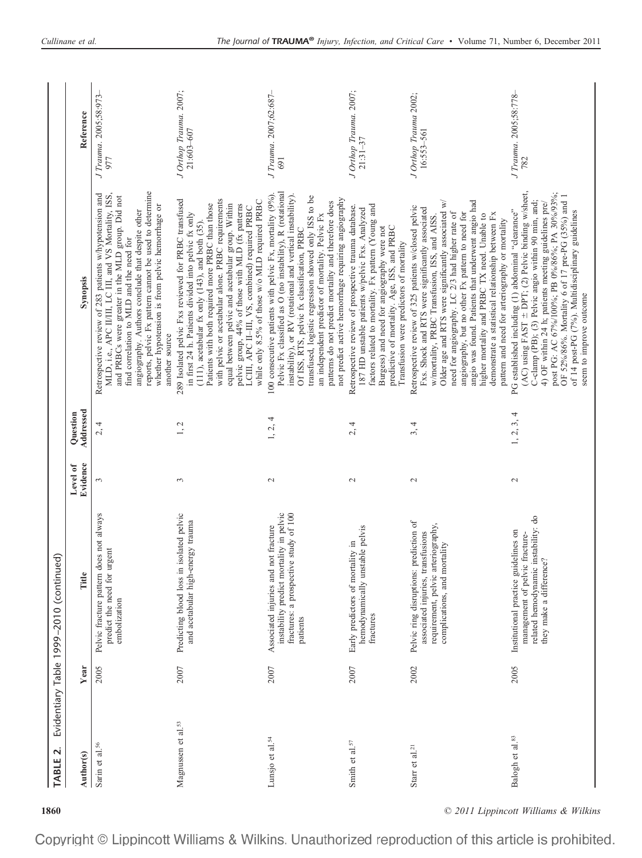| $\mathbf{N}$<br>TABLE          |      | Evidentiary Table 1999-2010 (continued)                                                                                                           |                      |                       |                                                                                                                                                                                                                                                                                                                                                                                                                                                                                                                                      |                                        |
|--------------------------------|------|---------------------------------------------------------------------------------------------------------------------------------------------------|----------------------|-----------------------|--------------------------------------------------------------------------------------------------------------------------------------------------------------------------------------------------------------------------------------------------------------------------------------------------------------------------------------------------------------------------------------------------------------------------------------------------------------------------------------------------------------------------------------|----------------------------------------|
| Author(s)                      | Year | Title                                                                                                                                             | Evidence<br>Level of | Addressed<br>Question | Synopsis                                                                                                                                                                                                                                                                                                                                                                                                                                                                                                                             | Reference                              |
| Sarin et al. <sup>56</sup>     | 2005 | Pelvic fracture pattern does not always<br>predict the need for urgent<br>embolization                                                            |                      | 2, 4                  | reports, pelvic Fx pattern cannot be used to determine<br>Retrospective review of 283 patients w/hypotension and<br>MLD, i.e., APC II/III, LC III, and VS Mortality, ISS,<br>and PRBCs were greater in the MLD group. Did not<br>whether hypotension is from pelvic hemorrhage or<br>angiography. Authors conclude that despite other<br>find correlation to MLD and the need for<br>another source                                                                                                                                  | J Trauma. 2005:58:973-<br>977          |
| Magnussen et al. <sup>53</sup> | 2007 | Predicting blood loss in isolated pelvic<br>and acetabular high-energy trauma                                                                     | $\epsilon$           | 1, 2                  | 289 Isolated pelvic Fxs reviewed for PRBC transfused<br>with pelvic or acetabular alone. PRBC requirements<br>while only 8.5% of those w/o MLD required PRBC<br>equal between pelvic and acetabular group. Within<br>pelvic group, 44% of those with MLD (fx patterns<br>Patients with both required more PRBC than those<br>LCIII, APC II-III, VS, combined) required PRBC<br>in first 24 h. Patients divided into pelvic fx only<br>$(111)$ , acetabular fx only $(143)$ , and both $(35)$ .                                       | J Orthop Trauma. 2007;<br>21:603-607   |
| Lunsjo et al. <sup>54</sup>    | 2007 | instability predict mortality in pelvic<br>fractures: a prospective study of 100<br>Associated injuries and not fracture<br>patients              | $\sim$               | 4<br>1, 2,            | Pelvic Fx classified as O (no instability), R (rotational<br>100 consecutive patients with pelvic Fx, mortality (9%).<br>instability), or RV (rotational and vertical instability).<br>transfused, logistic regression showed only ISS to be<br>not predict active hemorrhage requiring angiography<br>patterns do not predict mortality and therefore does<br>an independent predictor of mortality. Pelvic Fx<br>Of ISS, RTS, pelvic fx classification, PRBC                                                                       | J Trauma. 2007;62:687-<br>691          |
| Smith et al. <sup>57</sup>     | 2007 | hemodynamically unstable pelvis<br>Early predictors of mortality in<br>fractures                                                                  | $\sim$               | 2, 4                  | Retrospective review of prospective trauma database.<br>factors related to mortality. Fx pattern (Young and<br>187 HD unstable patients w/pelvic Fxs. Analyzed<br>predictive of mortality. Age, ISS, and PRBC<br>Burgess) and need for angiography were not<br>Transfusion were predictors of mortality                                                                                                                                                                                                                              | J Orthop Trauma. 2007;<br>$21:31 - 37$ |
| Starr et al. <sup>21</sup>     | 2002 | Pelvic ring disruptions: prediction of<br>requirement, pelvic arteriography,<br>associated injuries, transfusions<br>complications, and mortality | 2                    | 4<br>3,               | Older age and RTS were significantly associated w/<br>angio was found. Patients that underwent angio had<br>Retrospective review of 325 patients w/closed pelvic<br>Fxs. Shock and RTS were significantly associated<br>need for angiography. LC 2/3 had higher rate of<br>angiography, but no other Fx pattern to need for<br>demonstrate a statistical relationship between Fx<br>higher mortality and PRBC TX need. Unable to<br>w/mortality, PRBC Transfusion, ISS, and AISS.<br>pattern and need for arteriography or mortality | J Orthop Trauma 2002;<br>16:553-561    |
| Balogh et al. <sup>83</sup>    | 2005 | related hemodynamic instability: do<br>Institutional practice guidelines on<br>management of pelvic fracture-<br>they make a difference?          | $\sim$               | 4<br>1, 2, 3,         | (AC) using FAST $\pm$ DPT; (2) Pelvic binding w/sheet,<br>post PG: AC 67%/100%; PB 0%/86%; PA 30%/93%;<br>OF 52%/86%. Mortality 6 of 17 pre-PG (35%) and 1<br>C-clamp (PB); (3) Pelvic angio within 90 min, and;<br>4) OF within 24 h; patients meeting guidelines pre/<br>PG established including (1) abdominal "clearance"<br>of 14 post-PG (7%). Multidisciplinary guidelines<br>seem to improve outcome                                                                                                                         | J Trauma. 2005;58:778<br>782           |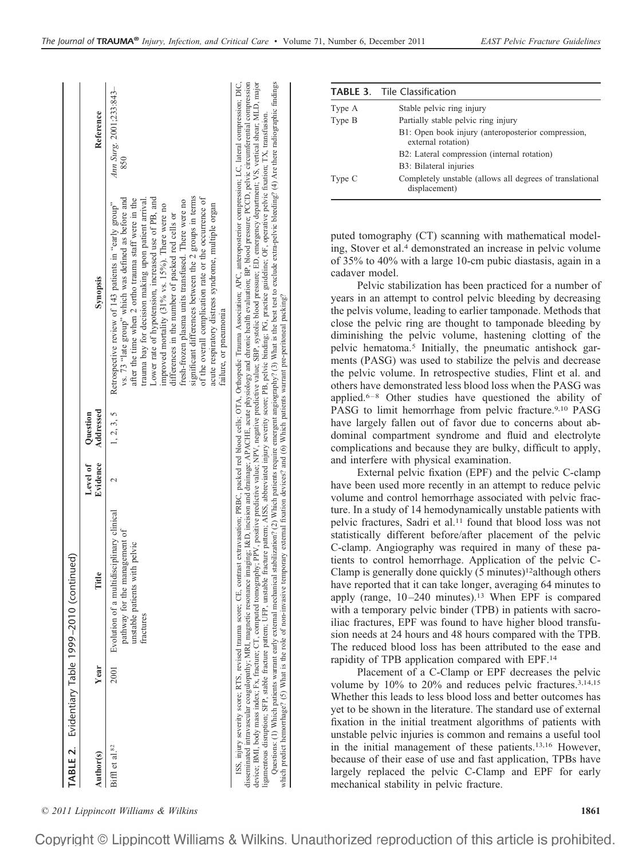|                            |      | TABLE 2. Evidentiary Table 1999-2010 (continued)                                                                         |                      |                       |                                                                                                                                                                                                                                                                                                                                                                                                                                                                                                                                                                                                                                                                                                                                                                                                                                                                                                                                                                                                                                                                                    |                                |
|----------------------------|------|--------------------------------------------------------------------------------------------------------------------------|----------------------|-----------------------|------------------------------------------------------------------------------------------------------------------------------------------------------------------------------------------------------------------------------------------------------------------------------------------------------------------------------------------------------------------------------------------------------------------------------------------------------------------------------------------------------------------------------------------------------------------------------------------------------------------------------------------------------------------------------------------------------------------------------------------------------------------------------------------------------------------------------------------------------------------------------------------------------------------------------------------------------------------------------------------------------------------------------------------------------------------------------------|--------------------------------|
| <b>Author(s)</b>           | Year | Title                                                                                                                    | Evidence<br>Level of | Addressed<br>Question | Synopsis                                                                                                                                                                                                                                                                                                                                                                                                                                                                                                                                                                                                                                                                                                                                                                                                                                                                                                                                                                                                                                                                           | Reference                      |
| Biffl et al. <sup>82</sup> | 2001 | Evolution of a multidisciplinary clinical<br>pathway for the management of<br>unstable patients with pelvic<br>fractures |                      | 1, 2, 3, 5            | significant differences between the 2 groups in terms<br>of the overall complication rate or the occurrence of<br>Lower rate of hypotension, increased use of PB, and<br>vs. 73 "late group" which was defined as before and<br>after the time when 2 ortho trauma staff were in the<br>trauma bay for decision making upon patient arrival<br>fresh-frozen plasma units transfused. There were no<br>Retrospective review of 143 patients in "early group"<br>improved mortality (31% vs. 15%). There were no<br>acute respiratory distress syndrome, multiple organ<br>differences in the number of packed red cells or<br>failure, or pneumonia                                                                                                                                                                                                                                                                                                                                                                                                                                 | Ann Surg. 2001;233:843-<br>850 |
|                            |      | Questions: (1) Which patients warrant early external mechanical                                                          |                      |                       | ISS, injury severity score; RTS, revised trauna score; CE, contrast extravasation; PRBC, packed red blood cells; OTA, Orthopedic Trauma Association; APC, anteroposterior compression; LC, lateral compression; DIC,<br>disseminated intravascular coagulopathy, MRI, magnetic resonance imaging; I&D, incision and drainage; APACHE, acute physiology and chronic health evaluation; BP, blood pressure; PCCD, pelvic circumferential compression<br>device; BMI, body mass index; Fx, fracture; CT, computed tomography; PPV, positive predictive value; NPV, negative predictive value; SBP, systolic blood pressure; ED, emergency department; VS, vertical shear; MLD, major<br>stabilization? (2) Which patients require emergent angiography? (3) What is the best test to exclude extra-pelvic bleeding? (4) Are there radiographic findings<br>ligamentous disruption; SFP, stable fracture pattern; UFP, unstable fracture pattern; AISS, abbreviated injury severity score; PB, pelvic binding; PG, practice guideline; OF, operative pelvic fixation; TX, transfusion. |                                |

and (6) Which patients warrant pre-peritoneal packing'

which predict hemorrhage? (5) What is the role of non-invasive temporary external fixation devices? and (6) Which patients warrant pre-peritoneal packing?

predict hemorrhage? (5) What is the role of non-invasive temporary

which j

external fixation devices?

|        | <b>TABLE 3. Tile Classification</b>                                       |
|--------|---------------------------------------------------------------------------|
| Type A | Stable pelvic ring injury                                                 |
| Type B | Partially stable pelvic ring injury                                       |
|        | B1: Open book injury (anteroposterior compression,<br>external rotation)  |
|        | B2: Lateral compression (internal rotation)                               |
|        | B3: Bilateral injuries                                                    |
| Type C | Completely unstable (allows all degrees of translational<br>displacement) |

puted tomography (CT) scanning with mathematical modeling, Stover et al.4 demonstrated an increase in pelvic volume of 35% to 40% with a large 10-cm pubic diastasis, again in a cadaver model.

Pelvic stabilization has been practiced for a number of years in an attempt to control pelvic bleeding by decreasing the pelvis volume, leading to earlier tamponade. Methods that close the pelvic ring are thought to tamponade bleeding by diminishing the pelvic volume, hastening clotting of the pelvic hematoma.5 Initially, the pneumatic antishock garments (PASG) was used to stabilize the pelvis and decrease the pelvic volume. In retrospective studies, Flint et al. and others have demonstrated less blood loss when the PASG was applied.6–8 Other studies have questioned the ability of PASG to limit hemorrhage from pelvic fracture.<sup>9,10</sup> PASG have largely fallen out of favor due to concerns about abdominal compartment syndrome and fluid and electrolyte complications and because they are bulky, difficult to apply, and interfere with physical examination.

External pelvic fixation (EPF) and the pelvic C-clamp have been used more recently in an attempt to reduce pelvic volume and control hemorrhage associated with pelvic fracture. In a study of 14 hemodynamically unstable patients with pelvic fractures, Sadri et al.11 found that blood loss was not statistically different before/after placement of the pelvic C-clamp. Angiography was required in many of these patients to control hemorrhage. Application of the pelvic C-Clamp is generally done quickly  $(5 \text{ minutes})^{12}$ although others have reported that it can take longer, averaging 64 minutes to apply (range,  $10-240$  minutes).<sup>13</sup> When EPF is compared with a temporary pelvic binder (TPB) in patients with sacroiliac fractures, EPF was found to have higher blood transfusion needs at 24 hours and 48 hours compared with the TPB. The reduced blood loss has been attributed to the ease and rapidity of TPB application compared with EPF.14

Placement of a C-Clamp or EPF decreases the pelvic volume by 10% to 20% and reduces pelvic fractures.3,14,15 Whether this leads to less blood loss and better outcomes has yet to be shown in the literature. The standard use of external fixation in the initial treatment algorithms of patients with unstable pelvic injuries is common and remains a useful tool in the initial management of these patients.13,16 However, because of their ease of use and fast application, TPBs have largely replaced the pelvic C-Clamp and EPF for early mechanical stability in pelvic fracture.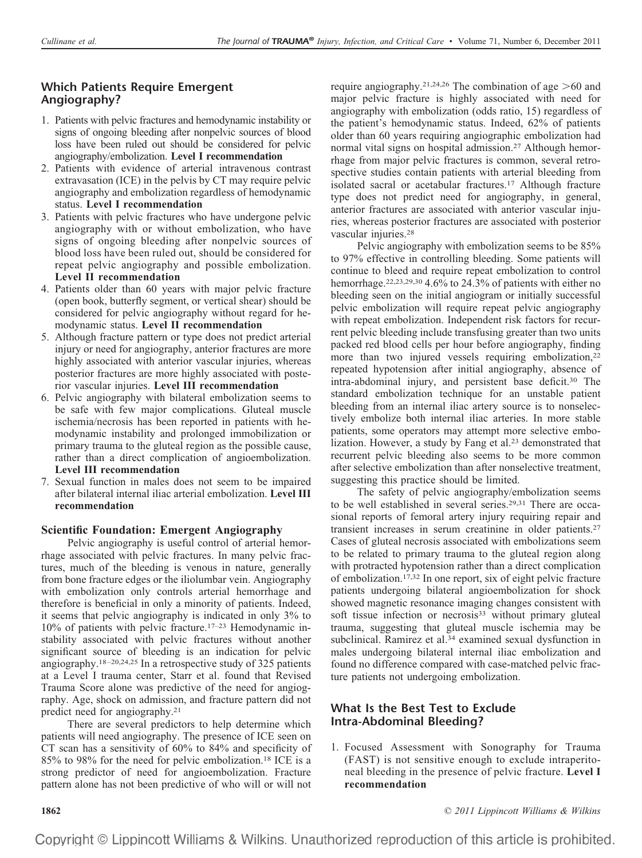# **Which Patients Require Emergent Angiography?**

- 1. Patients with pelvic fractures and hemodynamic instability or signs of ongoing bleeding after nonpelvic sources of blood loss have been ruled out should be considered for pelvic angiography/embolization. **Level I recommendation**
- 2. Patients with evidence of arterial intravenous contrast extravasation (ICE) in the pelvis by CT may require pelvic angiography and embolization regardless of hemodynamic status. **Level I recommendation**
- 3. Patients with pelvic fractures who have undergone pelvic angiography with or without embolization, who have signs of ongoing bleeding after nonpelvic sources of blood loss have been ruled out, should be considered for repeat pelvic angiography and possible embolization. **Level II recommendation**
- 4. Patients older than 60 years with major pelvic fracture (open book, butterfly segment, or vertical shear) should be considered for pelvic angiography without regard for hemodynamic status. **Level II recommendation**
- 5. Although fracture pattern or type does not predict arterial injury or need for angiography, anterior fractures are more highly associated with anterior vascular injuries, whereas posterior fractures are more highly associated with posterior vascular injuries. **Level III recommendation**
- 6. Pelvic angiography with bilateral embolization seems to be safe with few major complications. Gluteal muscle ischemia/necrosis has been reported in patients with hemodynamic instability and prolonged immobilization or primary trauma to the gluteal region as the possible cause, rather than a direct complication of angioembolization. **Level III recommendation**
- 7. Sexual function in males does not seem to be impaired after bilateral internal iliac arterial embolization. **Level III recommendation**

# **Scientific Foundation: Emergent Angiography**

Pelvic angiography is useful control of arterial hemorrhage associated with pelvic fractures. In many pelvic fractures, much of the bleeding is venous in nature, generally from bone fracture edges or the iliolumbar vein. Angiography with embolization only controls arterial hemorrhage and therefore is beneficial in only a minority of patients. Indeed, it seems that pelvic angiography is indicated in only 3% to 10% of patients with pelvic fracture.17–23 Hemodynamic instability associated with pelvic fractures without another significant source of bleeding is an indication for pelvic angiography.18 –20,24,25 In a retrospective study of 325 patients at a Level I trauma center, Starr et al. found that Revised Trauma Score alone was predictive of the need for angiography. Age, shock on admission, and fracture pattern did not predict need for angiography.21

There are several predictors to help determine which patients will need angiography. The presence of ICE seen on CT scan has a sensitivity of 60% to 84% and specificity of 85% to 98% for the need for pelvic embolization.18 ICE is a strong predictor of need for angioembolization. Fracture pattern alone has not been predictive of who will or will not require angiography.<sup>21,24,26</sup> The combination of age  $>60$  and major pelvic fracture is highly associated with need for angiography with embolization (odds ratio, 15) regardless of the patient's hemodynamic status. Indeed, 62% of patients older than 60 years requiring angiographic embolization had normal vital signs on hospital admission.27 Although hemorrhage from major pelvic fractures is common, several retrospective studies contain patients with arterial bleeding from isolated sacral or acetabular fractures.17 Although fracture type does not predict need for angiography, in general, anterior fractures are associated with anterior vascular injuries, whereas posterior fractures are associated with posterior vascular injuries.28

Pelvic angiography with embolization seems to be 85% to 97% effective in controlling bleeding. Some patients will continue to bleed and require repeat embolization to control hemorrhage.<sup>22,23,29,30</sup> 4.6% to 24.3% of patients with either no bleeding seen on the initial angiogram or initially successful pelvic embolization will require repeat pelvic angiography with repeat embolization. Independent risk factors for recurrent pelvic bleeding include transfusing greater than two units packed red blood cells per hour before angiography, finding more than two injured vessels requiring embolization,<sup>22</sup> repeated hypotension after initial angiography, absence of intra-abdominal injury, and persistent base deficit.30 The standard embolization technique for an unstable patient bleeding from an internal iliac artery source is to nonselectively embolize both internal iliac arteries. In more stable patients, some operators may attempt more selective embolization. However, a study by Fang et al.<sup>23</sup> demonstrated that recurrent pelvic bleeding also seems to be more common after selective embolization than after nonselective treatment, suggesting this practice should be limited.

The safety of pelvic angiography/embolization seems to be well established in several series.29,31 There are occasional reports of femoral artery injury requiring repair and transient increases in serum creatinine in older patients.27 Cases of gluteal necrosis associated with embolizations seem to be related to primary trauma to the gluteal region along with protracted hypotension rather than a direct complication of embolization.17,32 In one report, six of eight pelvic fracture patients undergoing bilateral angioembolization for shock showed magnetic resonance imaging changes consistent with soft tissue infection or necrosis<sup>33</sup> without primary gluteal trauma, suggesting that gluteal muscle ischemia may be subclinical. Ramirez et al.<sup>34</sup> examined sexual dysfunction in males undergoing bilateral internal iliac embolization and found no difference compared with case-matched pelvic fracture patients not undergoing embolization.

# **What Is the Best Test to Exclude Intra-Abdominal Bleeding?**

1. Focused Assessment with Sonography for Trauma (FAST) is not sensitive enough to exclude intraperitoneal bleeding in the presence of pelvic fracture. **Level I recommendation**

**1862** *© 2011 Lippincott Williams & Wilkins*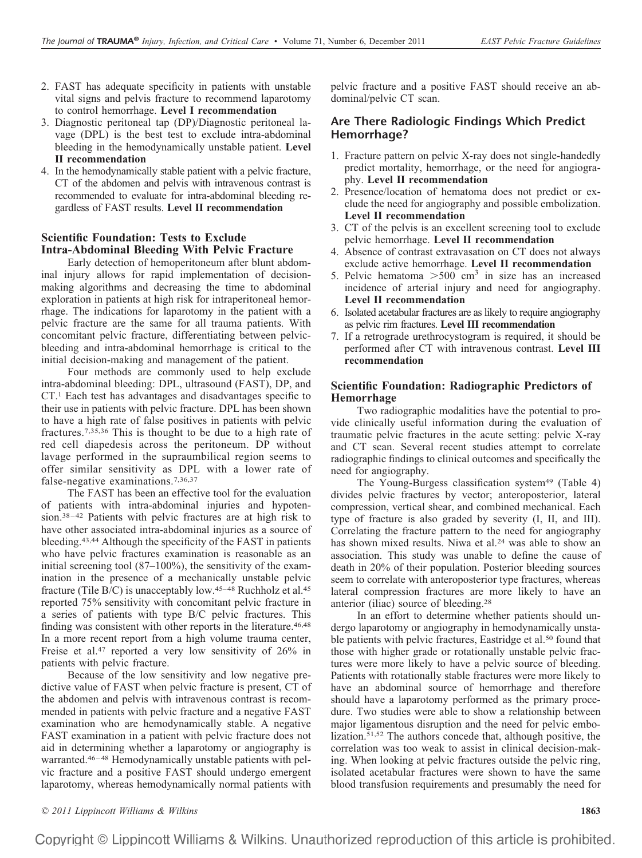- 2. FAST has adequate specificity in patients with unstable vital signs and pelvis fracture to recommend laparotomy to control hemorrhage. **Level I recommendation**
- 3. Diagnostic peritoneal tap (DP)/Diagnostic peritoneal lavage (DPL) is the best test to exclude intra-abdominal bleeding in the hemodynamically unstable patient. **Level II recommendation**
- 4. In the hemodynamically stable patient with a pelvic fracture, CT of the abdomen and pelvis with intravenous contrast is recommended to evaluate for intra-abdominal bleeding regardless of FAST results. **Level II recommendation**

# **Scientific Foundation: Tests to Exclude Intra-Abdominal Bleeding With Pelvic Fracture**

Early detection of hemoperitoneum after blunt abdominal injury allows for rapid implementation of decisionmaking algorithms and decreasing the time to abdominal exploration in patients at high risk for intraperitoneal hemorrhage. The indications for laparotomy in the patient with a pelvic fracture are the same for all trauma patients. With concomitant pelvic fracture, differentiating between pelvicbleeding and intra-abdominal hemorrhage is critical to the initial decision-making and management of the patient.

Four methods are commonly used to help exclude intra-abdominal bleeding: DPL, ultrasound (FAST), DP, and CT.1 Each test has advantages and disadvantages specific to their use in patients with pelvic fracture. DPL has been shown to have a high rate of false positives in patients with pelvic fractures.7,35,36 This is thought to be due to a high rate of red cell diapedesis across the peritoneum. DP without lavage performed in the supraumbilical region seems to offer similar sensitivity as DPL with a lower rate of false-negative examinations.7,36,37

The FAST has been an effective tool for the evaluation of patients with intra-abdominal injuries and hypotension.<sup>38-42</sup> Patients with pelvic fractures are at high risk to have other associated intra-abdominal injuries as a source of bleeding.43,44 Although the specificity of the FAST in patients who have pelvic fractures examination is reasonable as an initial screening tool (87–100%), the sensitivity of the examination in the presence of a mechanically unstable pelvic fracture (Tile B/C) is unacceptably low.<sup>45-48</sup> Ruchholz et al.<sup>45</sup> reported 75% sensitivity with concomitant pelvic fracture in a series of patients with type B/C pelvic fractures. This finding was consistent with other reports in the literature.<sup>46,48</sup> In a more recent report from a high volume trauma center, Freise et al.47 reported a very low sensitivity of 26% in patients with pelvic fracture.

Because of the low sensitivity and low negative predictive value of FAST when pelvic fracture is present, CT of the abdomen and pelvis with intravenous contrast is recommended in patients with pelvic fracture and a negative FAST examination who are hemodynamically stable. A negative FAST examination in a patient with pelvic fracture does not aid in determining whether a laparotomy or angiography is warranted.<sup>46-48</sup> Hemodynamically unstable patients with pelvic fracture and a positive FAST should undergo emergent laparotomy, whereas hemodynamically normal patients with

pelvic fracture and a positive FAST should receive an abdominal/pelvic CT scan.

## **Are There Radiologic Findings Which Predict Hemorrhage?**

- 1. Fracture pattern on pelvic X-ray does not single-handedly predict mortality, hemorrhage, or the need for angiography. **Level II recommendation**
- 2. Presence/location of hematoma does not predict or exclude the need for angiography and possible embolization. **Level II recommendation**
- 3. CT of the pelvis is an excellent screening tool to exclude pelvic hemorrhage. **Level II recommendation**
- 4. Absence of contrast extravasation on CT does not always exclude active hemorrhage. **Level II recommendation**
- 5. Pelvic hematoma  $>500$  cm<sup>3</sup> in size has an increased incidence of arterial injury and need for angiography. **Level II recommendation**
- 6. Isolated acetabular fractures are as likely to require angiography as pelvic rim fractures. **Level III recommendation**
- 7. If a retrograde urethrocystogram is required, it should be performed after CT with intravenous contrast. **Level III recommendation**

### **Scientific Foundation: Radiographic Predictors of Hemorrhage**

Two radiographic modalities have the potential to provide clinically useful information during the evaluation of traumatic pelvic fractures in the acute setting: pelvic X-ray and CT scan. Several recent studies attempt to correlate radiographic findings to clinical outcomes and specifically the need for angiography.

The Young-Burgess classification system<sup>49</sup> (Table 4) divides pelvic fractures by vector; anteroposterior, lateral compression, vertical shear, and combined mechanical. Each type of fracture is also graded by severity (I, II, and III). Correlating the fracture pattern to the need for angiography has shown mixed results. Niwa et al.<sup>24</sup> was able to show an association. This study was unable to define the cause of death in 20% of their population. Posterior bleeding sources seem to correlate with anteroposterior type fractures, whereas lateral compression fractures are more likely to have an anterior (iliac) source of bleeding.28

In an effort to determine whether patients should undergo laparotomy or angiography in hemodynamically unstable patients with pelvic fractures, Eastridge et al.<sup>50</sup> found that those with higher grade or rotationally unstable pelvic fractures were more likely to have a pelvic source of bleeding. Patients with rotationally stable fractures were more likely to have an abdominal source of hemorrhage and therefore should have a laparotomy performed as the primary procedure. Two studies were able to show a relationship between major ligamentous disruption and the need for pelvic embolization.51,52 The authors concede that, although positive, the correlation was too weak to assist in clinical decision-making. When looking at pelvic fractures outside the pelvic ring, isolated acetabular fractures were shown to have the same blood transfusion requirements and presumably the need for

#### *© 2011 Lippincott Williams & Wilkins* **1863**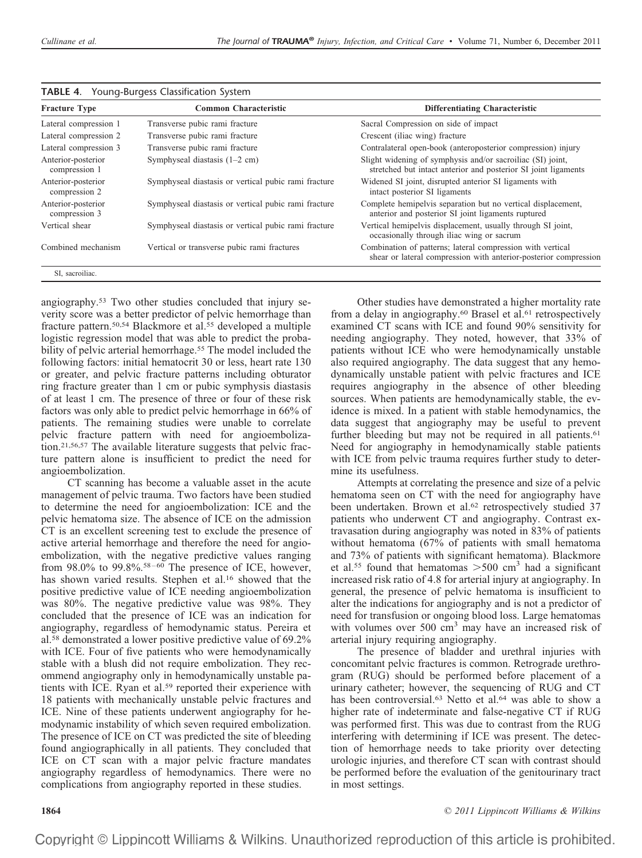| <b>Fracture Type</b>                | <b>Common Characteristic</b>                         | <b>Differentiating Characteristic</b>                                                                                          |  |
|-------------------------------------|------------------------------------------------------|--------------------------------------------------------------------------------------------------------------------------------|--|
| Lateral compression 1               | Transverse pubic rami fracture                       | Sacral Compression on side of impact                                                                                           |  |
| Lateral compression 2               | Transverse pubic rami fracture                       | Crescent (iliac wing) fracture                                                                                                 |  |
| Lateral compression 3               | Transverse pubic rami fracture                       | Contralateral open-book (anteroposterior compression) injury                                                                   |  |
| Anterior-posterior<br>compression 1 | Symphyseal diastasis $(1-2$ cm)                      | Slight widening of symphysis and/or sacroiliac (SI) joint,<br>stretched but intact anterior and posterior SI joint ligaments   |  |
| Anterior-posterior<br>compression 2 | Symphyseal diastasis or vertical pubic rami fracture | Widened SI joint, disrupted anterior SI ligaments with<br>intact posterior SI ligaments                                        |  |
| Anterior-posterior<br>compression 3 | Symphyseal diastasis or vertical pubic rami fracture | Complete hemipelvis separation but no vertical displacement,<br>anterior and posterior SI joint ligaments ruptured             |  |
| Vertical shear                      | Symphyseal diastasis or vertical pubic rami fracture | Vertical hemipelvis displacement, usually through SI joint,<br>occasionally through iliac wing or sacrum                       |  |
| Combined mechanism                  | Vertical or transverse pubic rami fractures          | Combination of patterns; lateral compression with vertical<br>shear or lateral compression with anterior-posterior compression |  |

| TABLE 4. | Young-Burgess Classification System |  |  |
|----------|-------------------------------------|--|--|
|----------|-------------------------------------|--|--|

angiography.53 Two other studies concluded that injury severity score was a better predictor of pelvic hemorrhage than fracture pattern.50,54 Blackmore et al.55 developed a multiple logistic regression model that was able to predict the probability of pelvic arterial hemorrhage.<sup>55</sup> The model included the following factors: initial hematocrit 30 or less, heart rate 130 or greater, and pelvic fracture patterns including obturator ring fracture greater than 1 cm or pubic symphysis diastasis of at least 1 cm. The presence of three or four of these risk factors was only able to predict pelvic hemorrhage in 66% of patients. The remaining studies were unable to correlate pelvic fracture pattern with need for angioembolization.21,56,57 The available literature suggests that pelvic fracture pattern alone is insufficient to predict the need for angioembolization.

CT scanning has become a valuable asset in the acute management of pelvic trauma. Two factors have been studied to determine the need for angioembolization: ICE and the pelvic hematoma size. The absence of ICE on the admission CT is an excellent screening test to exclude the presence of active arterial hemorrhage and therefore the need for angioembolization, with the negative predictive values ranging from 98.0% to 99.8%.<sup>58-60</sup> The presence of ICE, however, has shown varied results. Stephen et al.<sup>16</sup> showed that the positive predictive value of ICE needing angioembolization was 80%. The negative predictive value was 98%. They concluded that the presence of ICE was an indication for angiography, regardless of hemodynamic status. Pereira et al.58 demonstrated a lower positive predictive value of 69.2% with ICE. Four of five patients who were hemodynamically stable with a blush did not require embolization. They recommend angiography only in hemodynamically unstable patients with ICE. Ryan et al.<sup>59</sup> reported their experience with 18 patients with mechanically unstable pelvic fractures and ICE. Nine of these patients underwent angiography for hemodynamic instability of which seven required embolization. The presence of ICE on CT was predicted the site of bleeding found angiographically in all patients. They concluded that ICE on CT scan with a major pelvic fracture mandates angiography regardless of hemodynamics. There were no complications from angiography reported in these studies.

Other studies have demonstrated a higher mortality rate from a delay in angiography.<sup>60</sup> Brasel et al.<sup>61</sup> retrospectively examined CT scans with ICE and found 90% sensitivity for needing angiography. They noted, however, that 33% of patients without ICE who were hemodynamically unstable also required angiography. The data suggest that any hemodynamically unstable patient with pelvic fractures and ICE requires angiography in the absence of other bleeding sources. When patients are hemodynamically stable, the evidence is mixed. In a patient with stable hemodynamics, the data suggest that angiography may be useful to prevent further bleeding but may not be required in all patients.<sup>61</sup> Need for angiography in hemodynamically stable patients with ICE from pelvic trauma requires further study to determine its usefulness.

Attempts at correlating the presence and size of a pelvic hematoma seen on CT with the need for angiography have been undertaken. Brown et al.<sup>62</sup> retrospectively studied 37 patients who underwent CT and angiography. Contrast extravasation during angiography was noted in 83% of patients without hematoma (67% of patients with small hematoma and 73% of patients with significant hematoma). Blackmore et al.<sup>55</sup> found that hematomas  $>500$  cm<sup>3</sup> had a significant increased risk ratio of 4.8 for arterial injury at angiography. In general, the presence of pelvic hematoma is insufficient to alter the indications for angiography and is not a predictor of need for transfusion or ongoing blood loss. Large hematomas with volumes over  $500 \text{ cm}^3$  may have an increased risk of arterial injury requiring angiography.

The presence of bladder and urethral injuries with concomitant pelvic fractures is common. Retrograde urethrogram (RUG) should be performed before placement of a urinary catheter; however, the sequencing of RUG and CT has been controversial.<sup>63</sup> Netto et al.<sup>64</sup> was able to show a higher rate of indeterminate and false-negative CT if RUG was performed first. This was due to contrast from the RUG interfering with determining if ICE was present. The detection of hemorrhage needs to take priority over detecting urologic injuries, and therefore CT scan with contrast should be performed before the evaluation of the genitourinary tract in most settings.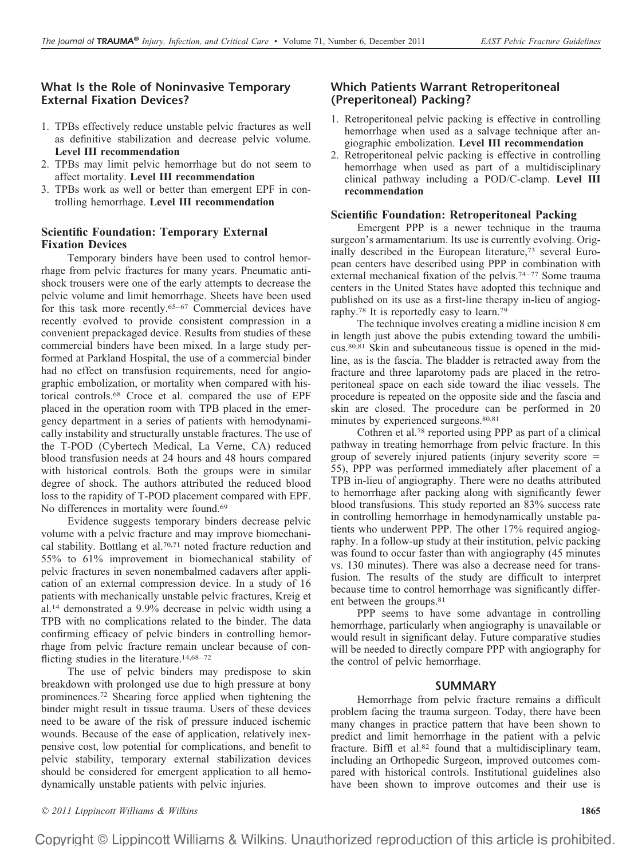# **What Is the Role of Noninvasive Temporary External Fixation Devices?**

- 1. TPBs effectively reduce unstable pelvic fractures as well as definitive stabilization and decrease pelvic volume. **Level III recommendation**
- 2. TPBs may limit pelvic hemorrhage but do not seem to affect mortality. **Level III recommendation**
- 3. TPBs work as well or better than emergent EPF in controlling hemorrhage. **Level III recommendation**

# **Scientific Foundation: Temporary External Fixation Devices**

Temporary binders have been used to control hemorrhage from pelvic fractures for many years. Pneumatic antishock trousers were one of the early attempts to decrease the pelvic volume and limit hemorrhage. Sheets have been used for this task more recently.<sup>65-67</sup> Commercial devices have recently evolved to provide consistent compression in a convenient prepackaged device. Results from studies of these commercial binders have been mixed. In a large study performed at Parkland Hospital, the use of a commercial binder had no effect on transfusion requirements, need for angiographic embolization, or mortality when compared with historical controls.68 Croce et al. compared the use of EPF placed in the operation room with TPB placed in the emergency department in a series of patients with hemodynamically instability and structurally unstable fractures. The use of the T-POD (Cybertech Medical, La Verne, CA) reduced blood transfusion needs at 24 hours and 48 hours compared with historical controls. Both the groups were in similar degree of shock. The authors attributed the reduced blood loss to the rapidity of T-POD placement compared with EPF. No differences in mortality were found.<sup>69</sup>

Evidence suggests temporary binders decrease pelvic volume with a pelvic fracture and may improve biomechanical stability. Bottlang et al.70,71 noted fracture reduction and 55% to 61% improvement in biomechanical stability of pelvic fractures in seven nonembalmed cadavers after application of an external compression device. In a study of 16 patients with mechanically unstable pelvic fractures, Kreig et al.14 demonstrated a 9.9% decrease in pelvic width using a TPB with no complications related to the binder. The data confirming efficacy of pelvic binders in controlling hemorrhage from pelvic fracture remain unclear because of conflicting studies in the literature.<sup>14,68-72</sup>

The use of pelvic binders may predispose to skin breakdown with prolonged use due to high pressure at bony prominences.72 Shearing force applied when tightening the binder might result in tissue trauma. Users of these devices need to be aware of the risk of pressure induced ischemic wounds. Because of the ease of application, relatively inexpensive cost, low potential for complications, and benefit to pelvic stability, temporary external stabilization devices should be considered for emergent application to all hemodynamically unstable patients with pelvic injuries.

# **Which Patients Warrant Retroperitoneal (Preperitoneal) Packing?**

- 1. Retroperitoneal pelvic packing is effective in controlling hemorrhage when used as a salvage technique after angiographic embolization. **Level III recommendation**
- 2. Retroperitoneal pelvic packing is effective in controlling hemorrhage when used as part of a multidisciplinary clinical pathway including a POD/C-clamp. **Level III recommendation**

## **Scientific Foundation: Retroperitoneal Packing**

Emergent PPP is a newer technique in the trauma surgeon's armamentarium. Its use is currently evolving. Originally described in the European literature,73 several European centers have described using PPP in combination with external mechanical fixation of the pelvis.<sup>74-77</sup> Some trauma centers in the United States have adopted this technique and published on its use as a first-line therapy in-lieu of angiography.78 It is reportedly easy to learn.79

The technique involves creating a midline incision 8 cm in length just above the pubis extending toward the umbilicus.80,81 Skin and subcutaneous tissue is opened in the midline, as is the fascia. The bladder is retracted away from the fracture and three laparotomy pads are placed in the retroperitoneal space on each side toward the iliac vessels. The procedure is repeated on the opposite side and the fascia and skin are closed. The procedure can be performed in 20 minutes by experienced surgeons.<sup>80,81</sup>

Cothren et al.78 reported using PPP as part of a clinical pathway in treating hemorrhage from pelvic fracture. In this group of severely injured patients (injury severity score 55), PPP was performed immediately after placement of a TPB in-lieu of angiography. There were no deaths attributed to hemorrhage after packing along with significantly fewer blood transfusions. This study reported an 83% success rate in controlling hemorrhage in hemodynamically unstable patients who underwent PPP. The other 17% required angiography. In a follow-up study at their institution, pelvic packing was found to occur faster than with angiography (45 minutes vs. 130 minutes). There was also a decrease need for transfusion. The results of the study are difficult to interpret because time to control hemorrhage was significantly different between the groups.81

PPP seems to have some advantage in controlling hemorrhage, particularly when angiography is unavailable or would result in significant delay. Future comparative studies will be needed to directly compare PPP with angiography for the control of pelvic hemorrhage.

#### **SUMMARY**

Hemorrhage from pelvic fracture remains a difficult problem facing the trauma surgeon. Today, there have been many changes in practice pattern that have been shown to predict and limit hemorrhage in the patient with a pelvic fracture. Biffl et al.<sup>82</sup> found that a multidisciplinary team, including an Orthopedic Surgeon, improved outcomes compared with historical controls. Institutional guidelines also have been shown to improve outcomes and their use is

*© 2011 Lippincott Williams & Wilkins* **1865**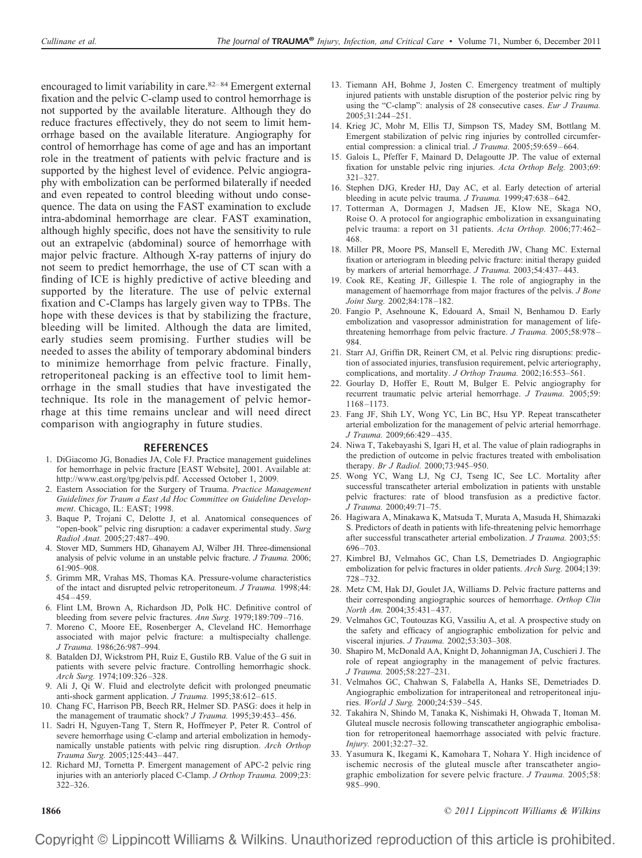encouraged to limit variability in care.<sup>82–84</sup> Emergent external fixation and the pelvic C-clamp used to control hemorrhage is not supported by the available literature. Although they do reduce fractures effectively, they do not seem to limit hemorrhage based on the available literature. Angiography for control of hemorrhage has come of age and has an important role in the treatment of patients with pelvic fracture and is supported by the highest level of evidence. Pelvic angiography with embolization can be performed bilaterally if needed and even repeated to control bleeding without undo consequence. The data on using the FAST examination to exclude intra-abdominal hemorrhage are clear. FAST examination, although highly specific, does not have the sensitivity to rule out an extrapelvic (abdominal) source of hemorrhage with major pelvic fracture. Although X-ray patterns of injury do not seem to predict hemorrhage, the use of CT scan with a finding of ICE is highly predictive of active bleeding and supported by the literature. The use of pelvic external fixation and C-Clamps has largely given way to TPBs. The hope with these devices is that by stabilizing the fracture, bleeding will be limited. Although the data are limited, early studies seem promising. Further studies will be needed to asses the ability of temporary abdominal binders to minimize hemorrhage from pelvic fracture. Finally, retroperitoneal packing is an effective tool to limit hemorrhage in the small studies that have investigated the technique. Its role in the management of pelvic hemorrhage at this time remains unclear and will need direct comparison with angiography in future studies.

#### **REFERENCES**

- 1. DiGiacomo JG, Bonadies JA, Cole FJ. Practice management guidelines for hemorrhage in pelvic fracture [EAST Website], 2001. Available at: http://www.east.org/tpg/pelvis.pdf. Accessed October 1, 2009.
- 2. Eastern Association for the Surgery of Trauma. *Practice Management Guidelines for Traum a East Ad Hoc Committee on Guideline Development*. Chicago, IL: EAST; 1998.
- 3. Baque P, Trojani C, Delotte J, et al. Anatomical consequences of "open-book" pelvic ring disruption: a cadaver experimental study. *Surg Radiol Anat.* 2005;27:487– 490.
- 4. Stover MD, Summers HD, Ghanayem AJ, Wilber JH. Three-dimensional analysis of pelvic volume in an unstable pelvic fracture. *J Trauma.* 2006; 61:905–908.
- 5. Grimm MR, Vrahas MS, Thomas KA. Pressure-volume characteristics of the intact and disrupted pelvic retroperitoneum. *J Trauma.* 1998;44:  $454 - 459.$
- 6. Flint LM, Brown A, Richardson JD, Polk HC. Definitive control of bleeding from severe pelvic fractures. *Ann Surg.* 1979;189:709 –716.
- 7. Moreno C, Moore EE, Rosenberger A, Cleveland HC. Hemorrhage associated with major pelvic fracture: a multispecialty challenge. *J Trauma.* 1986;26:987–994.
- 8. Batalden DJ, Wickstrom PH, Ruiz E, Gustilo RB. Value of the G suit in patients with severe pelvic fracture. Controlling hemorrhagic shock. *Arch Surg.* 1974;109:326 –328.
- 9. Ali J, Qi W. Fluid and electrolyte deficit with prolonged pneumatic anti-shock garment application. *J Trauma.* 1995;38:612– 615.
- 10. Chang FC, Harrison PB, Beech RR, Helmer SD. PASG: does it help in the management of traumatic shock? *J Trauma.* 1995;39:453– 456.
- 11. Sadri H, Nguyen-Tang T, Stern R, Hoffmeyer P, Peter R. Control of severe hemorrhage using C-clamp and arterial embolization in hemodynamically unstable patients with pelvic ring disruption. *Arch Orthop Trauma Surg.* 2005;125:443– 447.
- 12. Richard MJ, Tornetta P. Emergent management of APC-2 pelvic ring injuries with an anteriorly placed C-Clamp. *J Orthop Trauma.* 2009;23: 322–326.
- 13. Tiemann AH, Bohme J, Josten C. Emergency treatment of multiply injured patients with unstable disruption of the posterior pelvic ring by using the "C-clamp": analysis of 28 consecutive cases. *Eur J Trauma.* 2005;31:244 –251.
- 14. Krieg JC, Mohr M, Ellis TJ, Simpson TS, Madey SM, Bottlang M. Emergent stabilization of pelvic ring injuries by controlled circumferential compression: a clinical trial. *J Trauma*. 2005;59:659-664.
- 15. Galois L, Pfeffer F, Mainard D, Delagoutte JP. The value of external fixation for unstable pelvic ring injuries. *Acta Orthop Belg.* 2003;69: 321–327.
- 16. Stephen DJG, Kreder HJ, Day AC, et al. Early detection of arterial bleeding in acute pelvic trauma. *J Trauma.* 1999;47:638 – 642.
- 17. Totterman A, Dormagen J, Madsen JE, Klow NE, Skaga NO, Roise O. A protocol for angiographic embolization in exsanguinating pelvic trauma: a report on 31 patients. *Acta Orthop.* 2006;77:462– 468.
- 18. Miller PR, Moore PS, Mansell E, Meredith JW, Chang MC. External fixation or arteriogram in bleeding pelvic fracture: initial therapy guided by markers of arterial hemorrhage. *J Trauma.* 2003;54:437– 443.
- 19. Cook RE, Keating JF, Gillespie I. The role of angiography in the management of haemorrhage from major fractures of the pelvis. *J Bone Joint Surg.* 2002;84:178 –182.
- 20. Fangio P, Asehnoune K, Edouard A, Smail N, Benhamou D. Early embolization and vasopressor administration for management of lifethreatening hemorrhage from pelvic fracture. *J Trauma.* 2005;58:978 – 984.
- 21. Starr AJ, Griffin DR, Reinert CM, et al. Pelvic ring disruptions: prediction of associated injuries, transfusion requirement, pelvic arteriography, complications, and mortality. *J Orthop Trauma.* 2002;16:553–561.
- 22. Gourlay D, Hoffer E, Routt M, Bulger E. Pelvic angiography for recurrent traumatic pelvic arterial hemorrhage. *J Trauma.* 2005;59: 1168 –1173.
- 23. Fang JF, Shih LY, Wong YC, Lin BC, Hsu YP. Repeat transcatheter arterial embolization for the management of pelvic arterial hemorrhage. *J Trauma.* 2009;66:429 – 435.
- 24. Niwa T, Takebayashi S, Igari H, et al. The value of plain radiographs in the prediction of outcome in pelvic fractures treated with embolisation therapy. *Br J Radiol.* 2000;73:945–950.
- 25. Wong YC, Wang LJ, Ng CJ, Tseng IC, See LC. Mortality after successful transcatheter arterial embolization in patients with unstable pelvic fractures: rate of blood transfusion as a predictive factor. *J Trauma.* 2000;49:71–75.
- 26. Hagiwara A, Minakawa K, Matsuda T, Murata A, Masuda H, Shimazaki S. Predictors of death in patients with life-threatening pelvic hemorrhage after successful transcatheter arterial embolization. *J Trauma.* 2003;55: 696 –703.
- 27. Kimbrel BJ, Velmahos GC, Chan LS, Demetriades D. Angiographic embolization for pelvic fractures in older patients. *Arch Surg.* 2004;139: 728 –732.
- 28. Metz CM, Hak DJ, Goulet JA, Williams D. Pelvic fracture patterns and their corresponding angiographic sources of hemorrhage. *Orthop Clin North Am.* 2004;35:431– 437.
- 29. Velmahos GC, Toutouzas KG, Vassiliu A, et al. A prospective study on the safety and efficacy of angiographic embolization for pelvic and visceral injuries. *J Trauma.* 2002;53:303–308.
- 30. Shapiro M, McDonald AA, Knight D, Johannigman JA, Cuschieri J. The role of repeat angiography in the management of pelvic fractures. *J Trauma.* 2005;58:227–231.
- 31. Velmahos GC, Chahwan S, Falabella A, Hanks SE, Demetriades D. Angiographic embolization for intraperitoneal and retroperitoneal injuries. *World J Surg.* 2000;24:539 –545.
- 32. Takahira N, Shindo M, Tanaka K, Nishimaki H, Ohwada T, Itoman M. Gluteal muscle necrosis following transcatheter angiographic embolisation for retroperitoneal haemorrhage associated with pelvic fracture. *Injury.* 2001;32:27–32.
- 33. Yasumura K, Ikegami K, Kamohara T, Nohara Y. High incidence of ischemic necrosis of the gluteal muscle after transcatheter angiographic embolization for severe pelvic fracture. *J Trauma.* 2005;58: 985–990.

**1866** *© 2011 Lippincott Williams & Wilkins*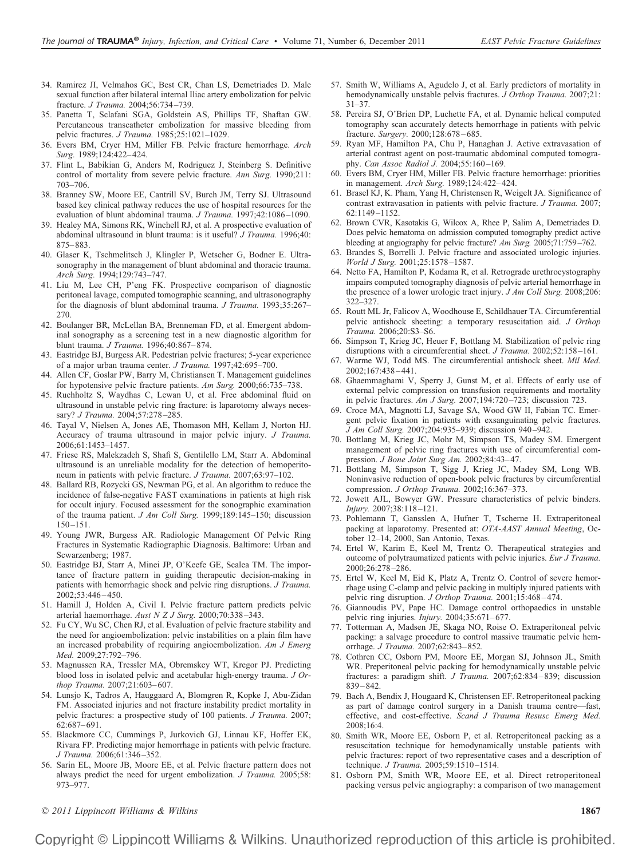- 34. Ramirez JI, Velmahos GC, Best CR, Chan LS, Demetriades D. Male sexual function after bilateral internal Iliac artery embolization for pelvic fracture. *J Trauma.* 2004;56:734 –739.
- 35. Panetta T, Sclafani SGA, Goldstein AS, Phillips TF, Shaftan GW. Percutaneous transcatheter embolization for massive bleeding from pelvic fractures. *J Trauma.* 1985;25:1021–1029.
- 36. Evers BM, Cryer HM, Miller FB. Pelvic fracture hemorrhage. *Arch Surg.* 1989;124:422– 424.
- 37. Flint L, Babikian G, Anders M, Rodriguez J, Steinberg S. Definitive control of mortality from severe pelvic fracture. *Ann Surg.* 1990;211: 703–706.
- 38. Branney SW, Moore EE, Cantrill SV, Burch JM, Terry SJ. Ultrasound based key clinical pathway reduces the use of hospital resources for the evaluation of blunt abdominal trauma. *J Trauma.* 1997;42:1086 –1090.
- 39. Healey MA, Simons RK, Winchell RJ, et al. A prospective evaluation of abdominal ultrasound in blunt trauma: is it useful? *J Trauma.* 1996;40: 875– 883.
- 40. Glaser K, Tschmelitsch J, Klingler P, Wetscher G, Bodner E. Ultrasonography in the management of blunt abdominal and thoracic trauma. *Arch Surg.* 1994;129:743–747.
- 41. Liu M, Lee CH, P'eng FK. Prospective comparison of diagnostic peritoneal lavage, computed tomographic scanning, and ultrasonography for the diagnosis of blunt abdominal trauma. *J Trauma.* 1993;35:267– 270.
- 42. Boulanger BR, McLellan BA, Brenneman FD, et al. Emergent abdominal sonography as a screening test in a new diagnostic algorithm for blunt trauma. *J Trauma.* 1996;40:867– 874.
- 43. Eastridge BJ, Burgess AR. Pedestrian pelvic fractures; 5-year experience of a major urban trauma center. *J Trauma.* 1997;42:695–700.
- 44. Allen CF, Goslar PW, Barry M, Christiansen T. Management guidelines for hypotensive pelvic fracture patients. *Am Surg.* 2000;66:735–738.
- 45. Ruchholtz S, Waydhas C, Lewan U, et al. Free abdominal fluid on ultrasound in unstable pelvic ring fracture: is laparotomy always necessary? *J Trauma.* 2004;57:278 –285.
- 46. Tayal V, Nielsen A, Jones AE, Thomason MH, Kellam J, Norton HJ. Accuracy of trauma ultrasound in major pelvic injury. *J Trauma.* 2006;61:1453–1457.
- 47. Friese RS, Malekzadeh S, Shafi S, Gentilello LM, Starr A. Abdominal ultrasound is an unreliable modality for the detection of hemoperitoneum in patients with pelvic fracture. *J Trauma.* 2007;63:97–102.
- 48. Ballard RB, Rozycki GS, Newman PG, et al. An algorithm to reduce the incidence of false-negative FAST examinations in patients at high risk for occult injury. Focused assessment for the sonographic examination of the trauma patient. *J Am Coll Surg.* 1999;189:145–150; discussion  $150 - 151$ .
- 49. Young JWR, Burgess AR. Radiologic Management Of Pelvic Ring Fractures in Systematic Radiographic Diagnosis. Baltimore: Urban and Scwarzenberg; 1987.
- 50. Eastridge BJ, Starr A, Minei JP, O'Keefe GE, Scalea TM. The importance of fracture pattern in guiding therapeutic decision-making in patients with hemorrhagic shock and pelvic ring disruptions. *J Trauma.* 2002;53:446 – 450.
- 51. Hamill J, Holden A, Civil I. Pelvic fracture pattern predicts pelvic arterial haemorrhage. *Aust N Z J Surg.* 2000;70:338 –343.
- 52. Fu CY, Wu SC, Chen RJ, et al. Evaluation of pelvic fracture stability and the need for angioembolization: pelvic instabilities on a plain film have an increased probability of requiring angioembolization. *Am J Emerg Med.* 2009;27:792–796.
- 53. Magnussen RA, Tressler MA, Obremskey WT, Kregor PJ. Predicting blood loss in isolated pelvic and acetabular high-energy trauma. *J Orthop Trauma.* 2007;21:603– 607.
- 54. Lunsjo K, Tadros A, Hauggaard A, Blomgren R, Kopke J, Abu-Zidan FM. Associated injuries and not fracture instability predict mortality in pelvic fractures: a prospective study of 100 patients. *J Trauma.* 2007; 62:687– 691.
- 55. Blackmore CC, Cummings P, Jurkovich GJ, Linnau KF, Hoffer EK, Rivara FP. Predicting major hemorrhage in patients with pelvic fracture. *J Trauma.* 2006;61:346 –352.
- 56. Sarin EL, Moore JB, Moore EE, et al. Pelvic fracture pattern does not always predict the need for urgent embolization. *J Trauma.* 2005;58: 973–977.
- 57. Smith W, Williams A, Agudelo J, et al. Early predictors of mortality in hemodynamically unstable pelvis fractures. *J Orthop Trauma.* 2007;21: 31–37.
- 58. Pereira SJ, O'Brien DP, Luchette FA, et al. Dynamic helical computed tomography scan accurately detects hemorrhage in patients with pelvic fracture. *Surgery.* 2000;128:678 – 685.
- 59. Ryan MF, Hamilton PA, Chu P, Hanaghan J. Active extravasation of arterial contrast agent on post-traumatic abdominal computed tomography. *Can Assoc Radiol J.* 2004;55:160 –169.
- 60. Evers BM, Cryer HM, Miller FB. Pelvic fracture hemorrhage: priorities in management. *Arch Surg.* 1989;124:422– 424.
- 61. Brasel KJ, K. Pham, Yang H, Christensen R, Weigelt JA. Significance of contrast extravasation in patients with pelvic fracture. *J Trauma.* 2007; 62:1149 –1152.
- 62. Brown CVR, Kasotakis G, Wilcox A, Rhee P, Salim A, Demetriades D. Does pelvic hematoma on admission computed tomography predict active bleeding at angiography for pelvic fracture? *Am Surg.* 2005;71:759 –762.
- 63. Brandes S, Borrelli J. Pelvic fracture and associated urologic injuries. *World J Surg.* 2001;25:1578 –1587.
- 64. Netto FA, Hamilton P, Kodama R, et al. Retrograde urethrocystography impairs computed tomography diagnosis of pelvic arterial hemorrhage in the presence of a lower urologic tract injury. *J Am Coll Surg.* 2008;206: 322–327.
- 65. Routt ML Jr, Falicov A, Woodhouse E, Schildhauer TA. Circumferential pelvic antishock sheeting: a temporary resuscitation aid. *J Orthop Trauma.* 2006;20:S3–S6.
- 66. Simpson T, Krieg JC, Heuer F, Bottlang M. Stabilization of pelvic ring disruptions with a circumferential sheet. *J Trauma.* 2002;52:158 –161.
- 67. Warme WJ, Todd MS. The circumferential antishock sheet. *Mil Med.* 2002;167:438 – 441.
- 68. Ghaemmaghami V, Sperry J, Gunst M, et al. Effects of early use of external pelvic compression on transfusion requirements and mortality in pelvic fractures. *Am J Surg.* 2007;194:720 –723; discussion 723.
- 69. Croce MA, Magnotti LJ, Savage SA, Wood GW II, Fabian TC. Emergent pelvic fixation in patients with exsanguinating pelvic fractures. *J Am Coll Surg.* 2007;204:935–939; discussion 940 –942.
- 70. Bottlang M, Krieg JC, Mohr M, Simpson TS, Madey SM. Emergent management of pelvic ring fractures with use of circumferential compression. *J Bone Joint Surg Am.* 2002;84:43– 47.
- 71. Bottlang M, Simpson T, Sigg J, Krieg JC, Madey SM, Long WB. Noninvasive reduction of open-book pelvic fractures by circumferential compression. *J Orthop Trauma.* 2002;16:367–373.
- 72. Jowett AJL, Bowyer GW. Pressure characteristics of pelvic binders. *Injury.* 2007;38:118 –121.
- 73. Pohlemann T, Gansslen A, Hufner T, Tscherne H. Extraperitoneal packing at laparotomy. Presented at: *OTA-AAST Annual Meeting*, October 12–14, 2000, San Antonio, Texas.
- 74. Ertel W, Karim E, Keel M, Trentz O. Therapeutical strategies and outcome of polytraumatized patients with pelvic injuries. *Eur J Trauma.* 2000;26:278 –286.
- 75. Ertel W, Keel M, Eid K, Platz A, Trentz O. Control of severe hemorrhage using C-clamp and pelvic packing in multiply injured patients with pelvic ring disruption. *J Orthop Trauma*. 2001;15:468-474.
- 76. Giannoudis PV, Pape HC. Damage control orthopaedics in unstable pelvic ring injuries. *Injury.* 2004;35:671– 677.
- 77. Totterman A, Madsen JE, Skaga NO, Roise O. Extraperitoneal pelvic packing: a salvage procedure to control massive traumatic pelvic hemorrhage. *J Trauma.* 2007;62:843– 852.
- 78. Cothren CC, Osborn PM, Moore EE, Morgan SJ, Johnson JL, Smith WR. Preperitoneal pelvic packing for hemodynamically unstable pelvic fractures: a paradigm shift. *J Trauma.* 2007;62:834 – 839; discussion 839 – 842.
- 79. Bach A, Bendix J, Hougaard K, Christensen EF. Retroperitoneal packing as part of damage control surgery in a Danish trauma centre—fast, effective, and cost-effective. *Scand J Trauma Resusc Emerg Med.* 2008;16:4.
- 80. Smith WR, Moore EE, Osborn P, et al. Retroperitoneal packing as a resuscitation technique for hemodynamically unstable patients with pelvic fractures: report of two representative cases and a description of technique. *J Trauma.* 2005;59:1510 –1514.
- 81. Osborn PM, Smith WR, Moore EE, et al. Direct retroperitoneal packing versus pelvic angiography: a comparison of two management